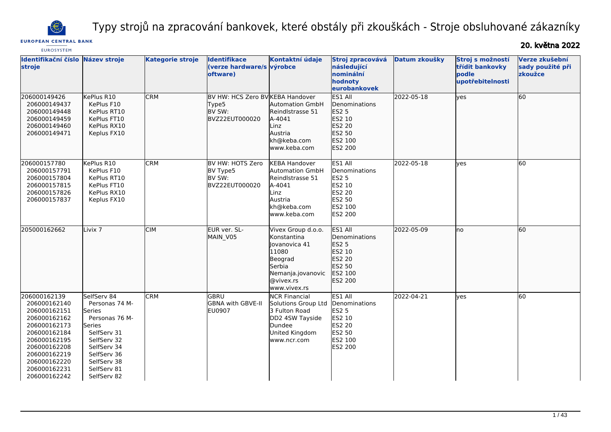

Typy strojů na zpracování bankovek, které obstály při zkouškách - Stroje obsluhované zákazníky

# **EUROPEAN CENTRAL BANK**

20. května 2022

| <b>EUROSYSTEM</b>                                                                                                                                                                            |                                                                                                                                                                              |                         |                                                                               |                                                                                                                                    |                                                                                                                    |               |                                                                  |                                               |
|----------------------------------------------------------------------------------------------------------------------------------------------------------------------------------------------|------------------------------------------------------------------------------------------------------------------------------------------------------------------------------|-------------------------|-------------------------------------------------------------------------------|------------------------------------------------------------------------------------------------------------------------------------|--------------------------------------------------------------------------------------------------------------------|---------------|------------------------------------------------------------------|-----------------------------------------------|
| Identifikační číslo<br>stroje                                                                                                                                                                | Název stroje                                                                                                                                                                 | <b>Kategorie stroje</b> | <b>Identifikace</b><br>(verze hardware/s výrobce<br>oftware)                  | Kontaktní údaje                                                                                                                    | Stroj zpracovává<br>následující<br>nominální<br>hodnoty<br>eurobankovek                                            | Datum zkoušky | Stroj s možností<br>třídit bankovky<br>podle<br>upotřebitelnosti | Verze zkušební<br>sady použité při<br>zkoužce |
| 206000149426<br>206000149437<br>206000149448<br>206000149459<br>206000149460<br>206000149471                                                                                                 | KePlus R10<br>KePlus F10<br>KePlus RT10<br>KePlus FT10<br>KePlus RX10<br>Keplus FX10                                                                                         | <b>CRM</b>              | BV HW: HCS Zero BV KEBA Handover<br>Type5<br><b>IBV SW:</b><br>BVZ22EUT000020 | Automation GmbH<br>Reindlstrasse 51<br>A-4041<br>Linz<br>Austria<br>kh@keba.com<br>www.keba.com                                    | ES1 All<br>Denominations<br><b>ES2 5</b><br>ES2 10<br>ES2 20<br>ES2 50<br>ES2 100<br>ES2 200                       | 2022-05-18    | ves                                                              | 60                                            |
| 206000157780<br>206000157791<br>206000157804<br>206000157815<br>206000157826<br>206000157837                                                                                                 | KePlus R10<br>KePlus F10<br>KePlus RT10<br>KePlus FT10<br>KePlus RX10<br>Keplus FX10                                                                                         | <b>CRM</b>              | BV HW: HOTS Zero<br>BV Type5<br>BV SW:<br>BVZ22EUT000020                      | <b>KEBA Handover</b><br>Automation GmbH<br>Reindlstrasse 51<br>A-4041<br>Linz<br>Austria<br>kh@keba.com<br>www.keba.com            | ES1 All<br>Denominations<br><b>ES2 5</b><br>ES2 10<br><b>ES2 20</b><br>ES2 50<br><b>IES2 100</b><br><b>ES2 200</b> | 2022-05-18    | ves                                                              | 60                                            |
| 205000162662                                                                                                                                                                                 | Livix <sub>7</sub>                                                                                                                                                           | <b>CIM</b>              | EUR ver. SL-<br>MAIN V05                                                      | Vivex Group d.o.o.<br>Konstantina<br>Jovanovica 41<br>11080<br>Beograd<br>Serbia<br>Nemanja.jovanovic<br>@vivex.rs<br>www.vivex.rs | ES1 All<br>Denominations<br><b>ES2 5</b><br>ES2 10<br>ES2 20<br>ES2 50<br>ES2 100<br>ES2 200                       | 2022-05-09    | lno                                                              | 60                                            |
| 206000162139<br>206000162140<br>206000162151<br>206000162162<br>206000162173<br>206000162184<br>206000162195<br>206000162208<br>206000162219<br>206000162220<br>206000162231<br>206000162242 | SelfServ 84<br>Personas 74 M-<br>Series<br>Personas 76 M-<br>Series<br>SelfServ 31<br>SelfServ 32<br>SelfServ 34<br>SelfServ 36<br>SelfServ 38<br>SelfServ 81<br>SelfServ 82 | <b>CRM</b>              | lgbru<br>GBNA with GBVE-II<br>EU0907                                          | <b>NCR Financial</b><br>Solutions Group Ltd<br>3 Fulton Road<br>DD2 4SW Tayside<br>Dundee<br>United Kingdom<br>www.ncr.com         | ES1 All<br>Denominations<br><b>ES2 5</b><br>ES2 10<br>ES2 20<br>ES2 50<br>ES2 100<br><b>ES2 200</b>                | 2022-04-21    | ves                                                              | 60                                            |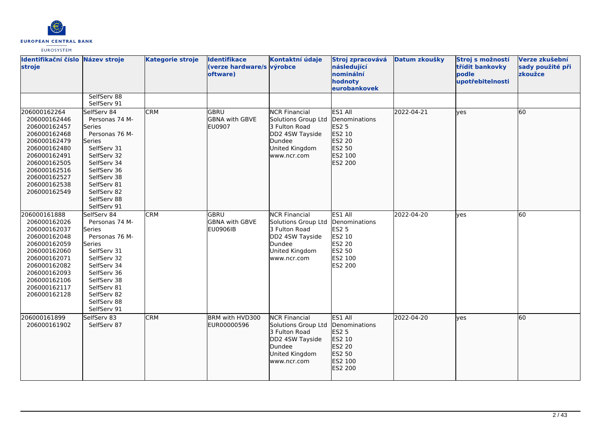

| Identifikační číslo Název stroje<br>stroje                                                                                                                                                   |                                                                                                                                                                                                              | <b>Kategorie stroje</b> | <b>Identifikace</b><br>(verze hardware/s výrobce<br>oftware) | Kontaktní údaje                                                                                                            | Stroj zpracovává<br>následující<br>nominální<br>hodnoty<br>eurobankovek                             | Datum zkoušky | Stroj s možností<br>třídit bankovky<br>podle<br>upotřebitelnosti | Verze zkušební<br>sady použité při<br>zkoužce |
|----------------------------------------------------------------------------------------------------------------------------------------------------------------------------------------------|--------------------------------------------------------------------------------------------------------------------------------------------------------------------------------------------------------------|-------------------------|--------------------------------------------------------------|----------------------------------------------------------------------------------------------------------------------------|-----------------------------------------------------------------------------------------------------|---------------|------------------------------------------------------------------|-----------------------------------------------|
|                                                                                                                                                                                              | SelfServ 88<br>SelfServ 91                                                                                                                                                                                   |                         |                                                              |                                                                                                                            |                                                                                                     |               |                                                                  |                                               |
| 206000162264<br>206000162446<br>206000162457<br>206000162468<br>206000162479<br>206000162480<br>206000162491<br>206000162505<br>206000162516<br>206000162527<br>206000162538<br>206000162549 | SelfServ 84<br>Personas 74 M-<br>lSeries<br>Personas 76 M-<br>lSeries<br>SelfServ 31<br>SelfServ 32<br>SelfServ 34<br>SelfServ 36<br>SelfServ 38<br>SelfServ 81<br>SelfServ 82<br>SelfServ 88<br>SelfServ 91 | <b>CRM</b>              | <b>GBRU</b><br><b>GBNA with GBVE</b><br><b>EU0907</b>        | <b>NCR Financial</b><br>Solutions Group Ltd<br>3 Fulton Road<br>DD2 4SW Tayside<br>Dundee<br>United Kingdom<br>www.ncr.com | ES1 All<br>Denominations<br>ES2 5<br>ES2 10<br>ES2 20<br>ES2 50<br>ES2 100<br>ES2 200               | 2022-04-21    | ves                                                              | 60                                            |
| 206000161888<br>206000162026<br>206000162037<br>206000162048<br>206000162059<br>206000162060<br>206000162071<br>206000162082<br>206000162093<br>206000162106<br>206000162117<br>206000162128 | SelfServ 84<br>Personas 74 M-<br>Series<br>Personas 76 M-<br>Series<br>SelfServ 31<br>SelfServ 32<br>SelfServ 34<br>SelfServ 36<br>SelfServ 38<br>SelfServ 81<br>SelfServ 82<br>SelfServ 88<br>SelfServ 91   | <b>CRM</b>              | GBRU<br><b>GBNA with GBVE</b><br><b>EU0906IB</b>             | <b>NCR Financial</b><br>Solutions Group Ltd<br>3 Fulton Road<br>DD2 4SW Tayside<br>Dundee<br>United Kingdom<br>www.ncr.com | ES1 All<br>Denominations<br><b>ES2 5</b><br>ES2 10<br><b>ES2 20</b><br>ES2 50<br>ES2 100<br>ES2 200 | 2022-04-20    | ves                                                              | 60                                            |
| 206000161899<br>206000161902                                                                                                                                                                 | SelfServ 83<br>SelfServ 87                                                                                                                                                                                   | <b>CRM</b>              | BRM with HVD300<br>EUR00000596                               | <b>NCR Financial</b><br>Solutions Group Ltd<br>3 Fulton Road<br>DD2 4SW Tayside<br>Dundee<br>United Kingdom<br>www.ncr.com | ES1 All<br>Denominations<br>ES2 5<br>ES2 10<br>ES2 20<br>ES2 50<br>ES2 100<br>ES2 200               | 2022-04-20    | lyes                                                             | 60                                            |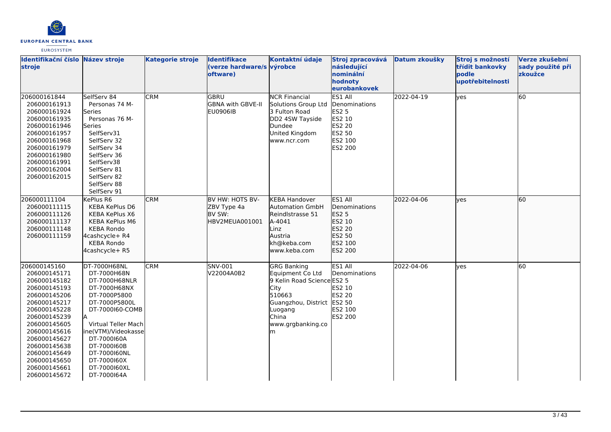

| Identifikační číslo Název stroje<br>stroje                                                                                                                                                                                                                   |                                                                                                                                                                                                                                                            | <b>Kategorie stroje</b> | <b>Identifikace</b><br>(verze hardware/s výrobce<br>oftware) | Kontaktní údaje                                                                                                                                                           | Stroj zpracovává<br>následující<br>nominální<br>hodnoty<br>eurobankovek                             | Datum zkoušky | Stroj s možností<br>třídit bankovky<br>podle<br>upotřebitelnosti | Verze zkušební<br>sady použité při<br>zkoužce |
|--------------------------------------------------------------------------------------------------------------------------------------------------------------------------------------------------------------------------------------------------------------|------------------------------------------------------------------------------------------------------------------------------------------------------------------------------------------------------------------------------------------------------------|-------------------------|--------------------------------------------------------------|---------------------------------------------------------------------------------------------------------------------------------------------------------------------------|-----------------------------------------------------------------------------------------------------|---------------|------------------------------------------------------------------|-----------------------------------------------|
| 206000161844<br>206000161913<br>206000161924<br>206000161935<br>206000161946<br>206000161957<br>206000161968<br>206000161979<br>206000161980<br>206000161991<br>206000162004<br>206000162015                                                                 | SelfServ 84<br>Personas 74 M-<br>Series<br>Personas 76 M-<br>Series<br>SelfServ31<br>SelfServ 32<br>SelfServ 34<br>SelfServ 36<br>SelfServ38<br>SelfServ 81<br>SelfServ 82<br>SelfServ 88<br>SelfServ 91                                                   | <b>CRM</b>              | <b>GBRU</b><br><b>GBNA with GBVE-II</b><br><b>EU0906IB</b>   | <b>NCR Financial</b><br>Solutions Group Ltd<br>3 Fulton Road<br>DD2 4SW Tayside<br>Dundee<br>United Kingdom<br>www.ncr.com                                                | ES1 All<br>Denominations<br><b>ES2 5</b><br>ES2 10<br><b>ES2 20</b><br>ES2 50<br>ES2 100<br>ES2 200 | 2022-04-19    | yes                                                              | 60                                            |
| 206000111104<br>206000111115<br>206000111126<br>206000111137<br>206000111148<br>206000111159                                                                                                                                                                 | KePlus R6<br><b>KEBA KePlus D6</b><br>KEBA KePlus X6<br><b>KEBA KePlus M6</b><br><b>KEBA Rondo</b><br>4cashcycle+ R4<br><b>KEBA Rondo</b><br>4cashcycle+ R5                                                                                                | <b>CRM</b>              | BV HW: HOTS BV-<br>ZBV Type 4a<br>BV SW:<br>HBV2MEUA001001   | <b>KEBA Handover</b><br><b>Automation GmbH</b><br>Reindlstrasse 51<br>A-4041<br>Linz<br>Austria<br>kh@keba.com<br>www.keba.com                                            | ES1 All<br>Denominations<br>ES2 5<br>ES2 10<br>ES2 20<br>ES2 50<br>ES2 100<br>ES2 200               | 2022-04-06    | lves                                                             | 60                                            |
| 206000145160<br>206000145171<br>206000145182<br>206000145193<br>206000145206<br>206000145217<br>206000145228<br>206000145239<br>206000145605<br>206000145616<br>206000145627<br>206000145638<br>206000145649<br>206000145650<br>206000145661<br>206000145672 | DT-7000H68NL<br>DT-7000H68N<br>DT-7000H68NLR<br>DT-7000H68NX<br>DT-7000P5800<br>DT-7000P5800L<br>DT-7000160-COMB<br>Virtual Teller Mach<br>ine(VTM)/Videokasse<br>DT-7000160A<br>DT-7000160B<br>DT-7000160NL<br>DT-7000160X<br>DT-7000160XL<br>DT-7000164A | <b>CRM</b>              | SNV-001<br>V22004A0B2                                        | <b>GRG Banking</b><br>Equipment Co Ltd<br>9 Kelin Road Science ES2 5<br><b>City</b><br>510663<br>Guangzhou, District ES2 50<br>Luogang<br>China<br>www.grgbanking.co<br>m | ES1 All<br>Denominations<br>ES2 10<br><b>ES2 20</b><br>ES2 100<br><b>ES2 200</b>                    | 2022-04-06    | lyes                                                             | 60                                            |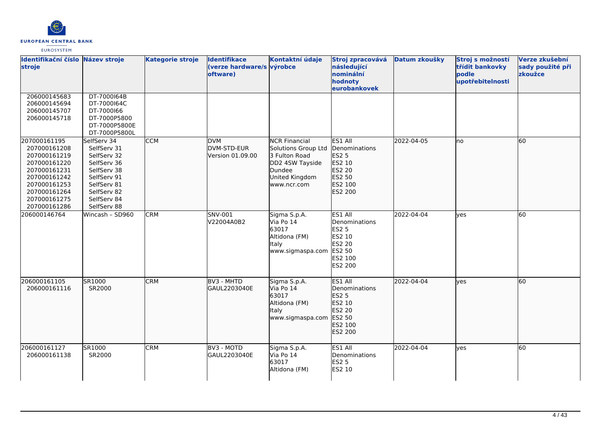

| Identifikační číslo Název stroje<br>stroje                                                                                                                   |                                                                                                                                                    | <b>Kategorie stroje</b> | <b>Identifikace</b><br>(verze hardware/s výrobce<br>oftware) | Kontaktní údaje                                                                                                            | Stroj zpracovává Datum zkoušky<br>následující<br>nominální<br>hodnoty<br>eurobankovek        |            | Stroj s možností<br>třídit bankovky<br>podle<br>upotřebitelnosti | Verze zkušební<br>sady použité při<br>zkoužce |
|--------------------------------------------------------------------------------------------------------------------------------------------------------------|----------------------------------------------------------------------------------------------------------------------------------------------------|-------------------------|--------------------------------------------------------------|----------------------------------------------------------------------------------------------------------------------------|----------------------------------------------------------------------------------------------|------------|------------------------------------------------------------------|-----------------------------------------------|
| 206000145683<br>206000145694<br>206000145707<br>206000145718                                                                                                 | DT-7000164B<br>DT-7000164C<br>DT-7000166<br>DT-7000P5800<br>DT-7000P5800E<br>DT-7000P5800L                                                         |                         |                                                              |                                                                                                                            |                                                                                              |            |                                                                  |                                               |
| 207000161195<br>207000161208<br>207000161219<br>207000161220<br>207000161231<br>207000161242<br>207000161253<br>207000161264<br>207000161275<br>207000161286 | SelfServ 34<br>SelfServ 31<br>SelfServ 32<br>SelfServ 36<br>SelfServ 38<br>SelfServ 91<br>SelfServ 81<br>SelfServ 82<br>SelfServ 84<br>SelfServ 88 | <b>CCM</b>              | <b>DVM</b><br>DVM-STD-EUR<br>Version 01.09.00                | <b>NCR Financial</b><br>Solutions Group Ltd<br>3 Fulton Road<br>DD2 4SW Tayside<br>Dundee<br>United Kingdom<br>www.ncr.com | ES1 All<br>Denominations<br>ES2 5<br>ES2 10<br>ES2 20<br>ES2 50<br>ES2 100<br>ES2 200        | 2022-04-05 | lno.                                                             | 60                                            |
| 206000146764                                                                                                                                                 | Wincash - SD960                                                                                                                                    | <b>CRM</b>              | SNV-001<br>V22004A0B2                                        | Sigma S.p.A.<br>Via Po 14<br>63017<br>Altidona (FM)<br><b>Italy</b><br>www.sigmaspa.com                                    | ES1 All<br>Denominations<br>ES2 5<br>ES2 10<br>ES2 20<br><b>ES2 50</b><br>ES2 100<br>ES2 200 | 2022-04-04 | yes                                                              | 60                                            |
| 206000161105<br>206000161116                                                                                                                                 | SR1000<br>SR2000                                                                                                                                   | <b>CRM</b>              | BV3 - MHTD<br>GAUL2203040E                                   | Sigma S.p.A.<br>Via Po 14<br>63017<br>Altidona (FM)<br>Italy<br>www.sigmaspa.com                                           | ES1 All<br>Denominations<br>ES2 5<br>ES2 10<br>ES2 20<br>ES2 50<br>ES2 100<br>ES2 200        | 2022-04-04 | lyes                                                             | 60                                            |
| 206000161127<br>206000161138                                                                                                                                 | SR1000<br>SR2000                                                                                                                                   | <b>CRM</b>              | BV3 - MOTD<br>GAUL2203040E                                   | Sigma S.p.A.<br>Via Po 14<br>63017<br>Altidona (FM)                                                                        | ES1 All<br>Denominations<br><b>ES2 5</b><br>ES2 10                                           | 2022-04-04 | lyes                                                             | 60                                            |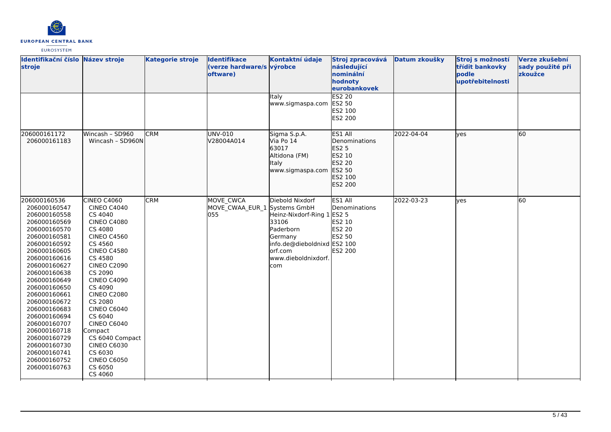

| <b>EUROSYSTEM</b> |
|-------------------|
|-------------------|

| Identifikační číslo Název stroje<br>stroje                                                                                                                                                                                                                                                                                                                                                   |                                                                                                                                                                                                                                                                                                                                                                                                                      | <b>Kategorie stroje</b> | <b>Identifikace</b><br>(verze hardware/s výrobce<br>oftware) | Kontaktní údaje                                                                                                                                  | Stroj zpracovává<br>následující<br>nominální<br>hodnoty<br>eurobankovek                  | Datum zkoušky | Stroj s možností<br>třídit bankovky<br>podle<br>upotřebitelnosti | Verze zkušební<br>sady použité při<br>zkoužce |
|----------------------------------------------------------------------------------------------------------------------------------------------------------------------------------------------------------------------------------------------------------------------------------------------------------------------------------------------------------------------------------------------|----------------------------------------------------------------------------------------------------------------------------------------------------------------------------------------------------------------------------------------------------------------------------------------------------------------------------------------------------------------------------------------------------------------------|-------------------------|--------------------------------------------------------------|--------------------------------------------------------------------------------------------------------------------------------------------------|------------------------------------------------------------------------------------------|---------------|------------------------------------------------------------------|-----------------------------------------------|
|                                                                                                                                                                                                                                                                                                                                                                                              |                                                                                                                                                                                                                                                                                                                                                                                                                      |                         |                                                              | Italy<br>www.sigmaspa.com                                                                                                                        | <b>ES2 20</b><br>ES2 50<br>ES2 100<br>ES2 200                                            |               |                                                                  |                                               |
| 206000161172<br>206000161183                                                                                                                                                                                                                                                                                                                                                                 | Wincash - SD960<br>Wincash - SD960N                                                                                                                                                                                                                                                                                                                                                                                  | <b>CRM</b>              | UNV-010<br>V28004A014                                        | Sigma S.p.A.<br>Via Po 14<br>63017<br>Altidona (FM)<br>Italy<br>www.sigmaspa.com                                                                 | ES1 All<br>Denominations<br>ES2 5<br>ES2 10<br>ES2 20<br>ES2 50<br>ES2 100<br>ES2 200    | 2022-04-04    | yes                                                              | 60                                            |
| 206000160536<br>206000160547<br>206000160558<br>206000160569<br>206000160570<br>206000160581<br>206000160592<br>206000160605<br>206000160616<br>206000160627<br>206000160638<br>206000160649<br>206000160650<br>206000160661<br>206000160672<br>206000160683<br>206000160694<br>206000160707<br>206000160718<br>206000160729<br>206000160730<br>206000160741<br>206000160752<br>206000160763 | CINEO C4060<br><b>CINEO C4040</b><br>CS 4040<br><b>CINEO C4080</b><br>CS 4080<br><b>CINEO C4560</b><br>CS 4560<br><b>CINEO C4580</b><br>CS 4580<br><b>CINEO C2090</b><br>CS 2090<br><b>CINEO C4090</b><br>CS 4090<br><b>CINEO C2080</b><br>CS 2080<br><b>CINEO C6040</b><br>CS 6040<br><b>CINEO C6040</b><br>Compact<br>CS 6040 Compact<br><b>CINEO C6030</b><br>CS 6030<br><b>CINEO C6050</b><br>CS 6050<br>CS 4060 | <b>CRM</b>              | MOVE CWCA<br>MOVE CWAA EUR 1 Systems GmbH<br>055             | Diebold Nixdorf<br>Heinz-Nixdorf-Ring 1<br>33106<br>Paderborn<br>Germany<br>info.de@dieboldnixd ES2 100<br>orf.com<br>www.dieboldnixdorf.<br>com | ES1 All<br>Denominations<br><b>ES2 5</b><br>ES2 10<br><b>ES2 20</b><br>ES2 50<br>ES2 200 | 2022-03-23    | yes                                                              | 60                                            |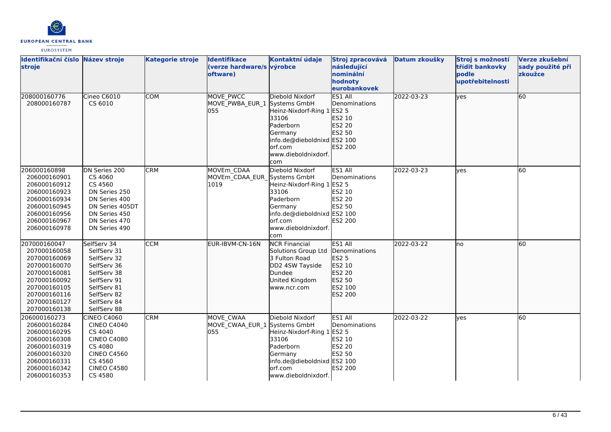

| Identifikační číslo Název stroje<br>stroje                                                                                                                   |                                                                                                                                                        | <b>Kategorie stroje</b> | <b>Identifikace</b><br>(verze hardware/s výrobce<br>oftware) | Kontaktní údaje                                                                                                                                                         | Stroj zpracovává<br>následující<br>nominální<br>hodnoty<br>eurobankovek                      | Datum zkoušky | Stroj s možností<br>třídit bankovky<br>podle<br>upotřebitelnosti | Verze zkušební<br>sady použité při<br>zkoužce |
|--------------------------------------------------------------------------------------------------------------------------------------------------------------|--------------------------------------------------------------------------------------------------------------------------------------------------------|-------------------------|--------------------------------------------------------------|-------------------------------------------------------------------------------------------------------------------------------------------------------------------------|----------------------------------------------------------------------------------------------|---------------|------------------------------------------------------------------|-----------------------------------------------|
| 208000160776<br>208000160787                                                                                                                                 | Cineo C6010<br>CS 6010                                                                                                                                 | <b>COM</b>              | <b>MOVE PWCC</b><br>MOVE_PWBA_EUR 1<br>055                   | Diebold Nixdorf<br>Systems GmbH<br>Heinz-Nixdorf-Ring 1 ES2 5<br>33106<br>Paderborn<br>Germany<br>info.de@dieboldnixd ES2 100<br>lorf.com<br>www.dieboldnixdorf.<br>com | <b>ES1 All</b><br><b>IDenominations</b><br>ES2 10<br>ES2 20<br>ES2 50<br>ES2 200             | 2022-03-23    | lyes                                                             | 60                                            |
| 206000160898<br>206000160901<br>206000160912<br>206000160923<br>206000160934<br>206000160945<br>206000160956<br>206000160967<br>206000160978                 | DN Series 200<br>CS 4060<br>CS 4560<br>DN Series 250<br>DN Series 400<br>DN Series 405DT<br>DN Series 450<br>DN Series 470<br>DN Series 490            | <b>CRM</b>              | MOVEm CDAA<br>MOVEm CDAA EUR<br>1019                         | Diebold Nixdorf<br>Systems GmbH<br>Heinz-Nixdorf-Ring 1 ES2 5<br>33106<br>Paderborn<br>Germany<br>info.de@dieboldnixd ES2 100<br>orf.com<br>www.dieboldnixdorf.<br>com  | ES1 All<br>Denominations<br>ES2 10<br><b>ES2 20</b><br>ES2 50<br><b>ES2 200</b>              | 2022-03-23    | lves                                                             | 60                                            |
| 207000160047<br>207000160058<br>207000160069<br>207000160070<br>207000160081<br>207000160092<br>207000160105<br>207000160116<br>207000160127<br>207000160138 | SelfServ 34<br>SelfServ 31<br>SelfServ 32<br>SelfServ 36<br>SelfServ 38<br>SelfServ 91<br>SelfServ 81<br>SelfServ 82<br>SelfServ 84<br>SelfServ 88     | <b>CCM</b>              | EUR-IBVM-CN-16N                                              | <b>NCR Financial</b><br>Solutions Group Ltd<br>3 Fulton Road<br>DD2 4SW Tayside<br>Dundee<br>United Kingdom<br>www.ncr.com                                              | ES1 All<br>Denominations<br><b>ES2 5</b><br>ES2 10<br>ES2 20<br>ES2 50<br>ES2 100<br>ES2 200 | 2022-03-22    | lno                                                              | 60                                            |
| 206000160273<br>206000160284<br>206000160295<br>206000160308<br>206000160319<br>206000160320<br>206000160331<br>206000160342<br>206000160353                 | <b>CINEO C4060</b><br><b>CINEO C4040</b><br>CS 4040<br><b>CINEO C4080</b><br>CS 4080<br><b>CINEO C4560</b><br>CS 4560<br><b>CINEO C4580</b><br>CS 4580 | <b>CRM</b>              | MOVE CWAA<br>MOVE_CWAA_EUR_1 Systems GmbH<br>055             | Diebold Nixdorf<br>Heinz-Nixdorf-Ring 1 ES2 5<br>33106<br>Paderborn<br>Germany<br>info.de@dieboldnixd ES2 100<br>orf.com<br>www.dieboldnixdorf.                         | ES1 All<br>Denominations<br>ES2 10<br>ES2 20<br>ES2 50<br><b>ES2 200</b>                     | 2022-03-22    | yes                                                              | 60                                            |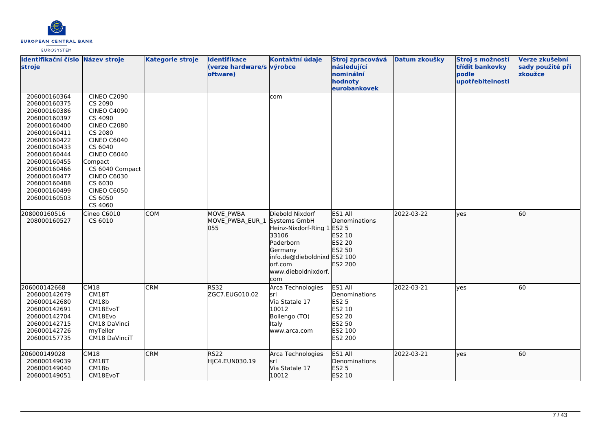

| Identifikační číslo<br>stroje                                                                                                                                                                                                                | Název stroje                                                                                                                                                                                                                                               | <b>Kategorie stroje</b> | <b>Identifikace</b><br>(verze hardware/s výrobce<br>oftware) | Kontaktní údaje                                                                                                                                                  | Stroj zpracovává<br>následující<br>nominální<br>hodnoty<br>eurobankovek                      | Datum zkoušky | Stroj s možností<br>třídit bankovky<br>podle<br>upotřebitelnosti | Verze zkušební<br>sady použité při<br>zkoužce |
|----------------------------------------------------------------------------------------------------------------------------------------------------------------------------------------------------------------------------------------------|------------------------------------------------------------------------------------------------------------------------------------------------------------------------------------------------------------------------------------------------------------|-------------------------|--------------------------------------------------------------|------------------------------------------------------------------------------------------------------------------------------------------------------------------|----------------------------------------------------------------------------------------------|---------------|------------------------------------------------------------------|-----------------------------------------------|
| 206000160364<br>206000160375<br>206000160386<br>206000160397<br>206000160400<br>206000160411<br>206000160422<br>206000160433<br>206000160444<br>206000160455<br>206000160466<br>206000160477<br>206000160488<br>206000160499<br>206000160503 | <b>CINEO C2090</b><br>CS 2090<br><b>CINEO C4090</b><br>CS 4090<br><b>CINEO C2080</b><br>CS 2080<br><b>CINEO C6040</b><br>CS 6040<br>CINEO C6040<br>Compact<br>CS 6040 Compact<br><b>CINEO C6030</b><br>CS 6030<br><b>CINEO C6050</b><br>CS 6050<br>CS 4060 |                         |                                                              | com                                                                                                                                                              |                                                                                              |               |                                                                  |                                               |
| 208000160516<br>208000160527                                                                                                                                                                                                                 | Cineo C6010<br>CS 6010                                                                                                                                                                                                                                     | <b>COM</b>              | <b>MOVE PWBA</b><br>MOVE PWBA EUR 1<br>055                   | Diebold Nixdorf<br>Systems GmbH<br>Heinz-Nixdorf-Ring 1<br>33106<br>Paderborn<br>Germany<br>info.de@dieboldnixd ES2 100<br>orf.com<br>www.dieboldnixdorf.<br>com | ES1 All<br>Denominations<br><b>ES2 5</b><br>ES2 10<br>ES2 20<br>ES2 50<br>ES2 200            | 2022-03-22    | lves                                                             | 60                                            |
| 206000142668<br>206000142679<br>206000142680<br>206000142691<br>206000142704<br>206000142715<br>206000142726<br>206000157735                                                                                                                 | CM18<br>CM18T<br>CM18b<br>CM18EvoT<br>CM18Evo<br>CM18 DaVinci<br>myTeller<br>CM18 DaVinciT                                                                                                                                                                 | <b>CRM</b>              | <b>RS32</b><br>ZGC7.EUG010.02                                | Arca Technologies<br>lsrl<br>Via Statale 17<br>10012<br>Bollengo (TO)<br>Italy<br>www.arca.com                                                                   | ES1 All<br>Denominations<br><b>ES2 5</b><br>ES2 10<br>ES2 20<br>ES2 50<br>ES2 100<br>ES2 200 | 2022-03-21    | yes                                                              | 60                                            |
| 206000149028<br>206000149039<br>206000149040<br>206000149051                                                                                                                                                                                 | CM18<br>CM18T<br>CM18b<br>CM18EvoT                                                                                                                                                                                                                         | <b>CRM</b>              | RS <sub>22</sub><br>HJC4.EUN030.19                           | Arca Technologies<br>İsrl<br>Via Statale 17<br>10012                                                                                                             | ES1 All<br><b>I</b> Denominations<br><b>ES2 5</b><br>ES2 10                                  | 2022-03-21    | lves                                                             | 60                                            |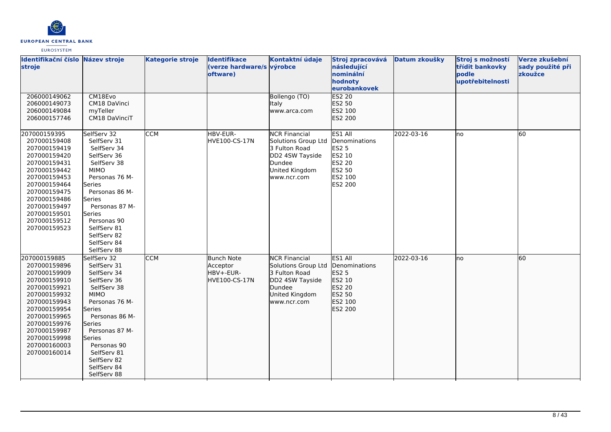

| Identifikační číslo Název stroje<br>stroje                                                                                                                                                                                   |                                                                                                                                                                                                                                                                     | <b>Kategorie stroje</b> | <b>Identifikace</b><br>(verze hardware/s výrobce<br>oftware) | Kontaktní údaje                                                                                                            | Stroj zpracovává<br>následující<br>nominální<br>hodnoty<br>eurobankovek                                    | Datum zkoušky | Stroj s možností<br>třídit bankovky<br>podle<br>upotřebitelnosti | Verze zkušební<br>sady použité při<br>zkoužce |
|------------------------------------------------------------------------------------------------------------------------------------------------------------------------------------------------------------------------------|---------------------------------------------------------------------------------------------------------------------------------------------------------------------------------------------------------------------------------------------------------------------|-------------------------|--------------------------------------------------------------|----------------------------------------------------------------------------------------------------------------------------|------------------------------------------------------------------------------------------------------------|---------------|------------------------------------------------------------------|-----------------------------------------------|
| 206000149062<br>206000149073<br>206000149084<br>206000157746                                                                                                                                                                 | CM18Evo<br>CM18 DaVinci<br>myTeller<br>CM18 DaVinciT                                                                                                                                                                                                                |                         |                                                              | Bollengo (TO)<br><b>Italy</b><br>www.arca.com                                                                              | <b>ES2 20</b><br>ES2 50<br>ES2 100<br>ES2 200                                                              |               |                                                                  |                                               |
| 207000159395<br>207000159408<br>207000159419<br>207000159420<br>207000159431<br>207000159442<br>207000159453<br>207000159464<br>207000159475<br>207000159486<br>207000159497<br>207000159501<br>207000159512<br>207000159523 | SelfServ 32<br>SelfServ 31<br>SelfServ 34<br>SelfServ 36<br>SelfServ 38<br><b>MIMO</b><br>Personas 76 M-<br>Series<br>Personas 86 M-<br><b>Series</b><br>Personas 87 M-<br><b>Series</b><br>Personas 90<br>SelfServ 81<br>SelfServ 82<br>SelfServ 84<br>SelfServ 88 | <b>CCM</b>              | HBV-EUR-<br>HVE100-CS-17N                                    | <b>NCR Financial</b><br>Solutions Group Ltd<br>3 Fulton Road<br>DD2 4SW Tayside<br>Dundee<br>United Kingdom<br>www.ncr.com | ES1 All<br>Denominations<br><b>ES2 5</b><br>ES2 10<br><b>ES2 20</b><br>ES2 50<br>ES2 100<br><b>ES2 200</b> | 2022-03-16    | no                                                               | 60                                            |
| 207000159885<br>207000159896<br>207000159909<br>207000159910<br>207000159921<br>207000159932<br>207000159943<br>207000159954<br>207000159965<br>207000159976<br>207000159987<br>207000159998<br>207000160003<br>207000160014 | SelfServ 32<br>SelfServ 31<br>SelfServ 34<br>SelfServ 36<br>SelfServ 38<br><b>MIMO</b><br>Personas 76 M-<br>Series<br>Personas 86 M-<br>Series<br>Personas 87 M-<br>lSeries<br>Personas 90<br>SelfServ 81<br>SelfServ 82<br>SelfServ 84<br>SelfServ 88              | <b>CCM</b>              | <b>Bunch Note</b><br>Acceptor<br>HBV+-EUR-<br>HVE100-CS-17N  | <b>NCR Financial</b><br>Solutions Group Ltd<br>3 Fulton Road<br>DD2 4SW Tayside<br>Dundee<br>United Kingdom<br>www.ncr.com | ES1 All<br>Denominations<br><b>ES2 5</b><br>ES2 10<br>ES2 20<br>ES2 50<br>ES2 100<br>ES2 200               | 2022-03-16    | lno                                                              | 60                                            |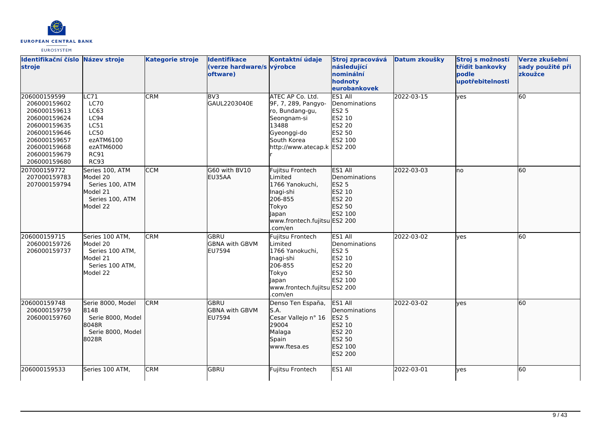

| Identifikační číslo Název stroje<br>stroje                                                                                                                   |                                                                                                                                        | <b>Kategorie stroje</b> | <b>Identifikace</b><br>(verze hardware/s výrobce<br>oftware) | Kontaktní údaje                                                                                                                                 | Stroj zpracovává<br>následující<br>nominální<br>hodnoty<br>eurobankovek               | Datum zkoušky | Stroj s možností<br>třídit bankovky<br>podle<br>upotřebitelnosti | Verze zkušební<br>sady použité při<br>zkoužce |
|--------------------------------------------------------------------------------------------------------------------------------------------------------------|----------------------------------------------------------------------------------------------------------------------------------------|-------------------------|--------------------------------------------------------------|-------------------------------------------------------------------------------------------------------------------------------------------------|---------------------------------------------------------------------------------------|---------------|------------------------------------------------------------------|-----------------------------------------------|
| 206000159599<br>206000159602<br>206000159613<br>206000159624<br>206000159635<br>206000159646<br>206000159657<br>206000159668<br>206000159679<br>206000159680 | $\overline{\text{LC71}}$<br><b>LC70</b><br>LC63<br>LC94<br>LC51<br><b>LC50</b><br>ezATM6100<br>ezATM6000<br><b>RC91</b><br><b>RC93</b> | <b>CRM</b>              | BV3<br>GAUL2203040E                                          | ATEC AP Co. Ltd.<br>9F, 7, 289, Pangyo-<br>ro, Bundang-gu,<br>Seongnam-si<br>13488<br>Gyeonggi-do<br>South Korea<br>http://www.atecap.k ES2 200 | ES1 All<br>Denominations<br><b>ES2 5</b><br>ES2 10<br>ES2 20<br>ES2 50<br>ES2 100     | 2022-03-15    | yes                                                              | $\overline{60}$                               |
| 207000159772<br>207000159783<br>207000159794                                                                                                                 | Series 100, ATM<br>Model 20<br>Series 100, ATM<br>Model 21<br>Series 100, ATM<br>Model 22                                              | <b>CCM</b>              | G60 with BV10<br>EU35AA                                      | Fujitsu Frontech<br>Limited<br>1766 Yanokuchi.<br>Inagi-shi<br>206-855<br>Tokyo<br>lapan<br>www.frontech.fujitsu ES2 200<br>.com/en             | ES1 All<br><b>I</b> Denominations<br>ES2 5<br>ES2 10<br>ES2 20<br>ES2 50<br>ES2 100   | 2022-03-03    | lno                                                              | 60                                            |
| 206000159715<br>206000159726<br>206000159737                                                                                                                 | Series 100 ATM,<br>Model 20<br>Series 100 ATM,<br>Model 21<br>Series 100 ATM,<br>Model 22                                              | <b>CRM</b>              | GBRU<br><b>GBNA with GBVM</b><br>EU7594                      | Fujitsu Frontech<br>Limited<br>1766 Yanokuchi,<br>Inagi-shi<br>206-855<br>Tokyo<br><b>Japan</b><br>www.frontech.fujitsu ES2 200<br>.com/en      | ES1 All<br>Denominations<br><b>ES2 5</b><br>ES2 10<br>ES2 20<br>ES2 50<br>ES2 100     | 2022-03-02    | lyes                                                             | 60                                            |
| 206000159748<br>206000159759<br>206000159760                                                                                                                 | Serie 8000, Model<br>8148<br>Serie 8000, Model<br>8048R<br>Serie 8000, Model<br>8028R                                                  | <b>CRM</b>              | GBRU<br><b>GBNA with GBVM</b><br><b>IEU7594</b>              | Denso Ten España,<br>S.A.<br>Cesar Vallejo nº 16<br>29004<br>Malaga<br>Spain<br>www.ftesa.es                                                    | ES1 All<br>Denominations<br>ES2 5<br>ES2 10<br>ES2 20<br>ES2 50<br>ES2 100<br>ES2 200 | 2022-03-02    | ves                                                              | 60                                            |
| 206000159533                                                                                                                                                 | Series 100 ATM.                                                                                                                        | <b>CRM</b>              | <b>GBRU</b>                                                  | Fujitsu Frontech                                                                                                                                | ES1 All                                                                               | 2022-03-01    | ves                                                              | 60                                            |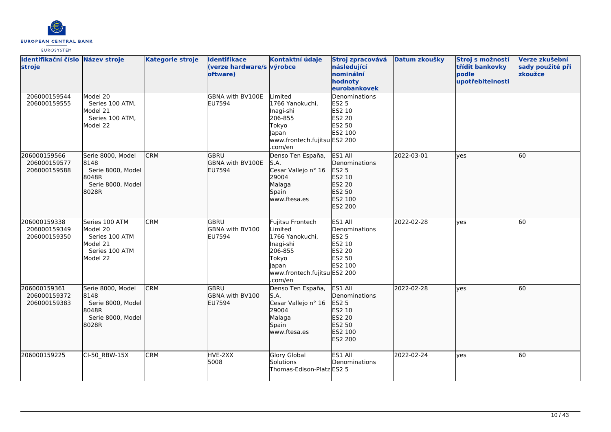

| Identifikační číslo Název stroje<br>stroje   |                                                                                        | <b>Kategorie stroje</b> | <b>Identifikace</b><br>(verze hardware/s výrobce<br>oftware) | Kontaktní údaje                                                                                                                     | Stroj zpracovává<br>následující<br>nominální<br>hodnoty<br>eurobankovek               | Datum zkoušky | Stroj s možností<br>třídit bankovky<br>podle<br>upotřebitelnosti | Verze zkušební<br>sady použité při<br>zkoužce |
|----------------------------------------------|----------------------------------------------------------------------------------------|-------------------------|--------------------------------------------------------------|-------------------------------------------------------------------------------------------------------------------------------------|---------------------------------------------------------------------------------------|---------------|------------------------------------------------------------------|-----------------------------------------------|
| 206000159544<br>206000159555                 | Model 20<br>Series 100 ATM,<br>Model 21<br>Series 100 ATM,<br>Model 22                 |                         | GBNA with BV100E<br>EU7594                                   | Limited<br>1766 Yanokuchi,<br>Inagi-shi<br>206-855<br>Tokyo<br><b>Japan</b><br>www.frontech.fujitsu ES2 200<br>.com/en              | Denominations<br>ES2 5<br>ES2 10<br>ES2 20<br>ES2 50<br>ES2 100                       |               |                                                                  |                                               |
| 206000159566<br>206000159577<br>206000159588 | Serie 8000, Model<br>8148<br>Serie 8000, Model<br>8048R<br>Serie 8000, Model<br>8028R  | <b>CRM</b>              | GBRU<br>GBNA with BV100E<br><b>EU7594</b>                    | Denso Ten España,<br>S.A.<br>Cesar Vallejo nº 16<br>29004<br>Malaga<br>Spain<br>www.ftesa.es                                        | ES1 All<br>Denominations<br>ES2 5<br>ES2 10<br>ES2 20<br>ES2 50<br>ES2 100<br>ES2 200 | 2022-03-01    | lves                                                             | 60                                            |
| 206000159338<br>206000159349<br>206000159350 | Series 100 ATM<br>Model 20<br>Series 100 ATM<br>Model 21<br>Series 100 ATM<br>Model 22 | <b>CRM</b>              | <b>GBRU</b><br>GBNA with BV100<br>EU7594                     | Fujitsu Frontech<br>Limited<br>1766 Yanokuchi,<br>Inagi-shi<br>206-855<br>Tokyo<br>lapan<br>www.frontech.fujitsu ES2 200<br>.com/en | ES1 All<br>Denominations<br>ES2 5<br>ES2 10<br>ES2 20<br>ES2 50<br>ES2 100            | 2022-02-28    | yes                                                              | 60                                            |
| 206000159361<br>206000159372<br>206000159383 | Serie 8000, Model<br>8148<br>Serie 8000, Model<br>8048R<br>Serie 8000, Model<br>8028R  | <b>CRM</b>              | GBRU<br>GBNA with BV100<br>EU7594                            | Denso Ten España,<br>S.A.<br>Cesar Vallejo nº 16<br>29004<br>Malaga<br>Spain<br>www.ftesa.es                                        | ES1 All<br>Denominations<br>ES2 5<br>ES2 10<br>ES2 20<br>ES2 50<br>ES2 100<br>ES2 200 | 2022-02-28    | lyes                                                             | 60                                            |
| 206000159225                                 | CI-50 RBW-15X                                                                          | <b>CRM</b>              | HVE-2XX<br>5008                                              | <b>Glory Global</b><br>Solutions<br>Thomas-Edison-Platz ES2 5                                                                       | ES1 All<br>Denominations                                                              | 2022-02-24    | <b>ves</b>                                                       | 60                                            |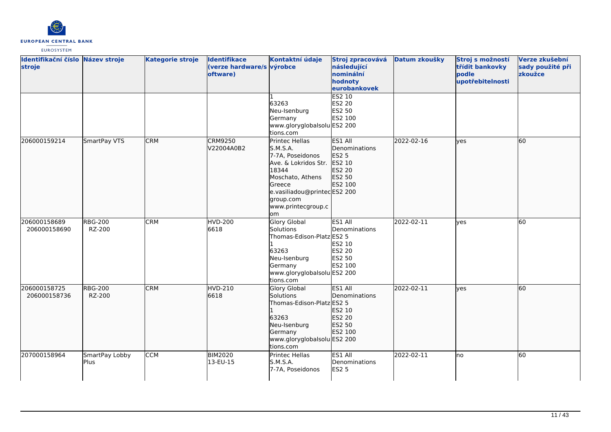

| Identifikační číslo Název stroje<br>stroje |                          | <b>Kategorie stroje</b> | <b>Identifikace</b><br>(verze hardware/s výrobce<br>oftware) | Kontaktní údaje                                                                                                                                                                        | Stroj zpracovává<br>následující<br>nominální<br>hodnoty<br>eurobankovek    | Datum zkoušky | Stroj s možností<br>třídit bankovky<br>podle<br>upotřebitelnosti | Verze zkušební<br>sady použité při<br>zkoužce |
|--------------------------------------------|--------------------------|-------------------------|--------------------------------------------------------------|----------------------------------------------------------------------------------------------------------------------------------------------------------------------------------------|----------------------------------------------------------------------------|---------------|------------------------------------------------------------------|-----------------------------------------------|
|                                            |                          |                         |                                                              | 63263<br>Neu-Isenburg<br>Germany<br>www.gloryglobalsolu ES2 200<br>tions.com                                                                                                           | ES2 10<br>ES2 20<br>ES2 50<br>ES2 100                                      |               |                                                                  |                                               |
| 206000159214                               | SmartPay VTS             | <b>CRM</b>              | <b>CRM9250</b><br>V22004A0B2                                 | Printec Hellas<br>S.M.S.A.<br>7-7A, Poseidonos<br>Ave. & Lokridos Str.<br>18344<br>Moschato, Athens<br>Greece<br>e.vasiliadou@printecES2 200<br>group.com<br>www.printecgroup.c<br>lom | ES1 All<br>Denominations<br>ES2 5<br>ES2 10<br>ES2 20<br>ES2 50<br>ES2 100 | 2022-02-16    | lyes                                                             | 60                                            |
| 206000158689<br>206000158690               | <b>RBG-200</b><br>RZ-200 | <b>CRM</b>              | <b>HVD-200</b><br>6618                                       | <b>Glory Global</b><br>Solutions<br>Thomas-Edison-Platz ES2 5<br>63263<br>Neu-Isenburg<br>Germany<br>www.gloryglobalsolu ES2 200<br>tions.com                                          | ES1 All<br>Denominations<br>ES2 10<br>ES2 20<br>ES2 50<br>ES2 100          | 2022-02-11    | <b>ves</b>                                                       | 60                                            |
| 206000158725<br>206000158736               | <b>RBG-200</b><br>RZ-200 | <b>CRM</b>              | <b>HVD-210</b><br>6618                                       | <b>Glory Global</b><br>Solutions<br>Thomas-Edison-Platz ES2 5<br>63263<br>Neu-Isenburg<br>Germany<br>www.gloryglobalsolu ES2 200<br>tions.com                                          | ES1 All<br>Denominations<br>ES2 10<br>ES2 20<br>ES2 50<br>ES2 100          | 2022-02-11    | lves                                                             | 60                                            |
| 207000158964                               | SmartPay Lobby<br>Plus   | <b>CCM</b>              | <b>BIM2020</b><br>13-EU-15                                   | <b>Printec Hellas</b><br>S.M.S.A.<br>7-7A, Poseidonos                                                                                                                                  | ES1 All<br>Denominations<br><b>ES2 5</b>                                   | 2022-02-11    | lno                                                              | 60                                            |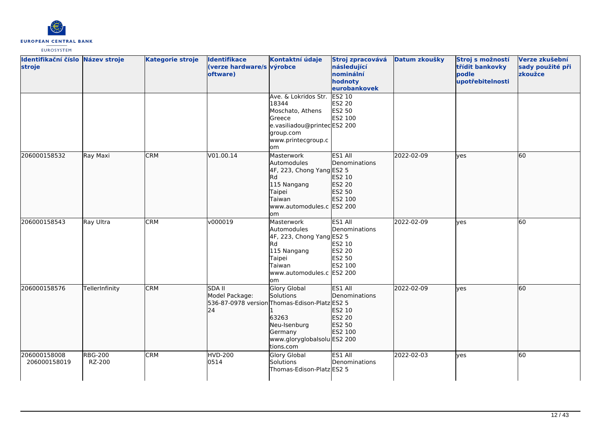

| Identifikační číslo Název stroje<br>stroje |                          | <b>Kategorie stroje</b> | <b>Identifikace</b><br>(verze hardware/s výrobce<br>oftware) | Kontaktní údaje                                                                                                                                            | Stroj zpracovává<br>následující<br>nominální<br>hodnoty<br>eurobankovek  | Datum zkoušky | Stroj s možností<br>třídit bankovky<br>podle<br>upotřebitelnosti | Verze zkušební<br>sady použité při<br>zkoužce |
|--------------------------------------------|--------------------------|-------------------------|--------------------------------------------------------------|------------------------------------------------------------------------------------------------------------------------------------------------------------|--------------------------------------------------------------------------|---------------|------------------------------------------------------------------|-----------------------------------------------|
|                                            |                          |                         |                                                              | Ave. & Lokridos Str.<br>18344<br>Moschato, Athens<br>Greece<br>e.vasiliadou@printecES2 200<br>group.com<br>www.printecgroup.c<br>lom                       | <b>ES2 10</b><br>ES2 20<br>ES2 50<br>ES2 100                             |               |                                                                  |                                               |
| 206000158532                               | Ray Maxi                 | <b>CRM</b>              | V01.00.14                                                    | Masterwork<br>Automodules<br>4F, 223, Chong Yang ES2 5<br>Rd<br>115 Nangang<br>Taipei<br>Taiwan<br>www.automodules.c ES2 200<br>lom                        | ES1 All<br>Denominations<br>ES2 10<br>ES2 20<br>ES2 50<br>ES2 100        | 2022-02-09    | lves                                                             | 60                                            |
| 206000158543                               | Ray Ultra                | <b>CRM</b>              | v000019                                                      | Masterwork<br>Automodules<br>4F, 223, Chong Yang ES2 5<br>Rd<br>115 Nangang<br>Taipei<br>Taiwan<br>www.automodules.c ES2 200<br>lom                        | ES1 All<br>Denominations<br>ES2 10<br><b>ES2 20</b><br>ES2 50<br>ES2 100 | 2022-02-09    | lyes                                                             | 60                                            |
| 206000158576                               | TellerInfinity           | <b>CRM</b>              | <b>SDA II</b><br>Model Package:<br>24                        | Glory Global<br>Solutions<br>536-87-0978 version Thomas-Edison-Platz ES2 5<br>63263<br>Neu-Isenburg<br>Germany<br>www.gloryglobalsolu ES2 200<br>tions.com | ES1 All<br>Denominations<br>ES2 10<br><b>ES2 20</b><br>ES2 50<br>ES2 100 | 2022-02-09    | lyes                                                             | 60                                            |
| 206000158008<br>206000158019               | <b>RBG-200</b><br>RZ-200 | <b>CRM</b>              | <b>HVD-200</b><br>0514                                       | <b>Glory Global</b><br>Solutions<br>Thomas-Edison-Platz ES2 5                                                                                              | ES1 All<br>Denominations                                                 | 2022-02-03    | lves                                                             | 60                                            |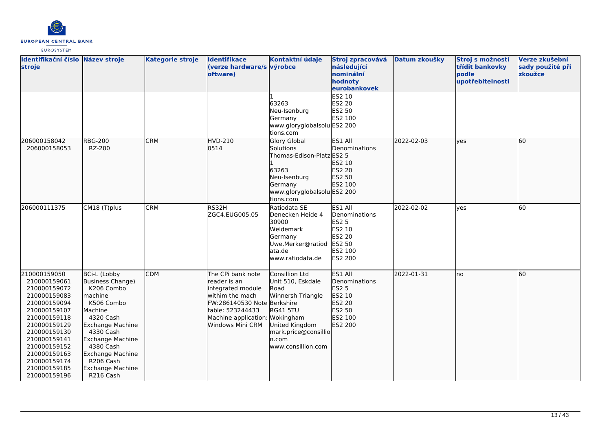

| Identifikační číslo Název stroje<br>stroje                                                                                                                                                                                                   |                                                                                                                                                                                                                                                                       | <b>Kategorie stroje</b> | <b>Identifikace</b><br>(verze hardware/s výrobce<br>oftware)                                                                                                                        | Kontaktní údaje                                                                                                                                              | Stroj zpracovává<br>následující<br>nominální<br>hodnoty<br>eurobankovek                             | Datum zkoušky | Stroj s možností<br>třídit bankovky<br>podle<br>upotřebitelnosti | Verze zkušební<br>sady použité při<br>zkoužce |
|----------------------------------------------------------------------------------------------------------------------------------------------------------------------------------------------------------------------------------------------|-----------------------------------------------------------------------------------------------------------------------------------------------------------------------------------------------------------------------------------------------------------------------|-------------------------|-------------------------------------------------------------------------------------------------------------------------------------------------------------------------------------|--------------------------------------------------------------------------------------------------------------------------------------------------------------|-----------------------------------------------------------------------------------------------------|---------------|------------------------------------------------------------------|-----------------------------------------------|
|                                                                                                                                                                                                                                              |                                                                                                                                                                                                                                                                       |                         |                                                                                                                                                                                     | 63263<br>Neu-Isenburg<br>Germany<br>www.gloryglobalsolu ES2 200<br>tions.com                                                                                 | ES2 10<br>ES2 20<br>ES2 50<br>ES2 100                                                               |               |                                                                  |                                               |
| 206000158042<br>206000158053                                                                                                                                                                                                                 | <b>RBG-200</b><br>RZ-200                                                                                                                                                                                                                                              | <b>CRM</b>              | HVD-210<br>0514                                                                                                                                                                     | <b>Glory Global</b><br>Solutions<br>Thomas-Edison-Platz ES2 5<br>63263<br>Neu-Isenburg<br>Germany<br>www.gloryglobalsolu ES2 200<br>tions.com                | ES1 All<br>Denominations<br>ES2 10<br>ES2 20<br>ES2 50<br>ES2 100                                   | 2022-02-03    | lves                                                             | 60                                            |
| 206000111375                                                                                                                                                                                                                                 | CM18 (T)plus                                                                                                                                                                                                                                                          | <b>CRM</b>              | RS32H<br>ZGC4.EUG005.05                                                                                                                                                             | Ratiodata SE<br>Denecken Heide 4<br>30900<br>Weidemark<br>Germany<br>Uwe.Merker@ratiod<br>lata.de<br>lwww.ratiodata.de                                       | ES1 All<br>Denominations<br><b>ES2 5</b><br>ES2 10<br>ES2 20<br>ES2 50<br>ES2 100<br><b>ES2 200</b> | 2022-02-02    | lves                                                             | 60                                            |
| 210000159050<br>210000159061<br>210000159072<br>210000159083<br>210000159094<br>210000159107<br>210000159118<br>210000159129<br>210000159130<br>210000159141<br>210000159152<br>210000159163<br>210000159174<br>210000159185<br>210000159196 | <b>BCi-L (Lobby</b><br>Business Change)<br>K206 Combo<br>lmachine<br>K506 Combo<br><b>Machine</b><br>4320 Cash<br>Exchange Machine<br>4330 Cash<br>Exchange Machine<br>4380 Cash<br><b>Exchange Machine</b><br>R <sub>206</sub> Cash<br>Exchange Machine<br>R216 Cash | <b>CDM</b>              | The CPi bank note<br>lreader is an<br>integrated module<br>withim the mach<br>FW:286140530 Note Berkshire<br>table: 523244433<br>Machine application: Wokingham<br>Windows Mini CRM | Consillion Ltd<br>Unit 510, Eskdale<br>Road<br>Winnersh Triangle<br><b>RG41 5TU</b><br>United Kingdom<br>mark.price@consillio<br>n.com<br>www.consillion.com | ES1 All<br>Denominations<br>ES2 5<br>ES2 10<br>ES2 20<br>ES2 50<br>ES2 100<br>ES2 200               | 2022-01-31    | lno                                                              | 60                                            |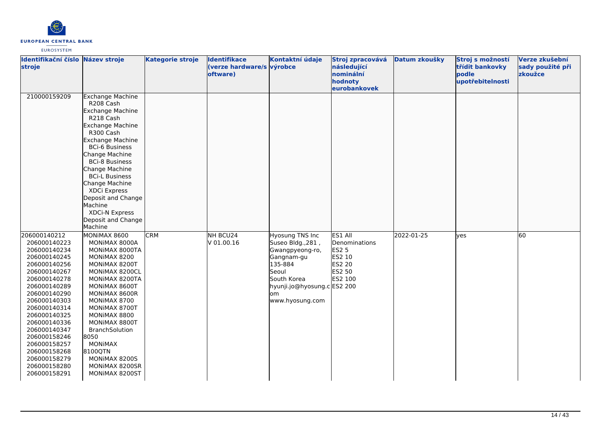

| Identifikační číslo Název stroje<br>stroje                                                                                                                                                                                                                                                                                   |                                                                                                                                                                                                                                                                                                                                                                               | <b>Kategorie stroje</b> | <b>Identifikace</b><br>(verze hardware/s výrobce<br>oftware) | Kontaktní údaje                                                                                                                                                   | Stroj zpracovává<br>následující<br>nominální<br>hodnoty<br>eurobankovek           | Datum zkoušky | Stroj s možností<br>třídit bankovky<br>podle<br>upotřebitelnosti | Verze zkušební<br>sady použité při<br>zkoužce |
|------------------------------------------------------------------------------------------------------------------------------------------------------------------------------------------------------------------------------------------------------------------------------------------------------------------------------|-------------------------------------------------------------------------------------------------------------------------------------------------------------------------------------------------------------------------------------------------------------------------------------------------------------------------------------------------------------------------------|-------------------------|--------------------------------------------------------------|-------------------------------------------------------------------------------------------------------------------------------------------------------------------|-----------------------------------------------------------------------------------|---------------|------------------------------------------------------------------|-----------------------------------------------|
| 210000159209                                                                                                                                                                                                                                                                                                                 | <b>Exchange Machine</b><br>R208 Cash<br>Exchange Machine<br>R218 Cash<br><b>Exchange Machine</b><br>R300 Cash<br><b>Exchange Machine</b><br><b>BCi-6 Business</b><br>Change Machine<br><b>BCi-8 Business</b><br>Change Machine<br><b>BCi-L Business</b><br>Change Machine<br>XDCi Express<br>Deposit and Change<br>Machine<br>XDCi-N Express<br>Deposit and Change<br>Machine |                         |                                                              |                                                                                                                                                                   |                                                                                   |               |                                                                  |                                               |
| 206000140212<br>206000140223<br>206000140234<br>206000140245<br>206000140256<br>206000140267<br>206000140278<br>206000140289<br>206000140290<br>206000140303<br>206000140314<br>206000140325<br>206000140336<br>206000140347<br>206000158246<br>206000158257<br>206000158268<br>206000158279<br>206000158280<br>206000158291 | MONIMAX 8600<br>MONIMAX 8000A<br>MONIMAX 8000TA<br>MONIMAX 8200<br>MONIMAX 8200T<br>MONIMAX 8200CL<br>MONIMAX 8200TA<br>MONIMAX 8600T<br>MONIMAX 8600R<br>MONIMAX 8700<br>MONIMAX 8700T<br>MONIMAX 8800<br>MONIMAX 8800T<br><b>BranchSolution</b><br>8050<br><b>MONIMAX</b><br>8100QTN<br>MONIMAX 8200S<br>MONIMAX 8200SR<br>MONIMAX 8200ST                                   | <b>CRM</b>              | NH BCU24<br>V 01.00.16                                       | Hyosung TNS Inc<br>Suseo Bldg., 281,<br>Gwangpyeong-ro,<br>Gangnam-gu<br>135-884<br>Seoul<br>South Korea<br>hyunji.jo@hyosung.c ES2 200<br>lom<br>www.hyosung.com | ES1 All<br>Denominations<br><b>ES2 5</b><br>ES2 10<br>ES2 20<br>ES2 50<br>ES2 100 | 2022-01-25    | yes                                                              | 60                                            |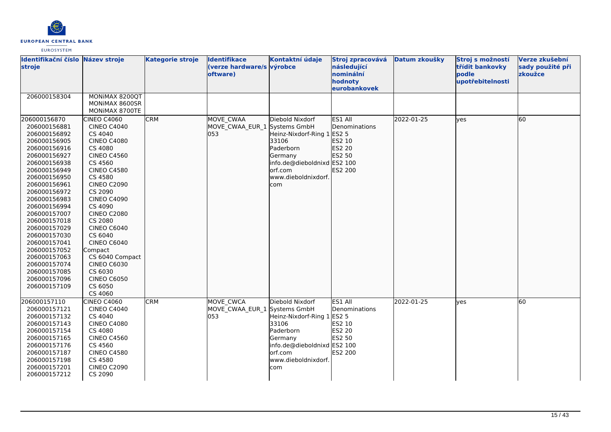

| Identifikační číslo Název stroje<br>stroje                                                                                                                                                                                                                                                                                                                                                   |                                                                                                                                                                                                                                                                                                                                                                                                                      | <b>Kategorie stroje</b> | Identifikace<br>(verze hardware/s výrobce<br>oftware) | Kontaktní údaje                                                                                                                                        | Stroj zpracovává<br>následující<br>nominální<br>hodnoty<br>eurobankovek   | Datum zkoušky | Stroj s možností<br>třídit bankovky<br>podle<br>upotřebitelnosti | Verze zkušební<br>sady použité při<br>zkoužce |
|----------------------------------------------------------------------------------------------------------------------------------------------------------------------------------------------------------------------------------------------------------------------------------------------------------------------------------------------------------------------------------------------|----------------------------------------------------------------------------------------------------------------------------------------------------------------------------------------------------------------------------------------------------------------------------------------------------------------------------------------------------------------------------------------------------------------------|-------------------------|-------------------------------------------------------|--------------------------------------------------------------------------------------------------------------------------------------------------------|---------------------------------------------------------------------------|---------------|------------------------------------------------------------------|-----------------------------------------------|
| 206000158304                                                                                                                                                                                                                                                                                                                                                                                 | MONIMAX 8200QT<br>MONIMAX 8600SR<br>MONIMAX 8700TE                                                                                                                                                                                                                                                                                                                                                                   |                         |                                                       |                                                                                                                                                        |                                                                           |               |                                                                  |                                               |
| 206000156870<br>206000156881<br>206000156892<br>206000156905<br>206000156916<br>206000156927<br>206000156938<br>206000156949<br>206000156950<br>206000156961<br>206000156972<br>206000156983<br>206000156994<br>206000157007<br>206000157018<br>206000157029<br>206000157030<br>206000157041<br>206000157052<br>206000157063<br>206000157074<br>206000157085<br>206000157096<br>206000157109 | CINEO C4060<br><b>CINEO C4040</b><br>CS 4040<br><b>CINEO C4080</b><br>CS 4080<br><b>CINEO C4560</b><br>CS 4560<br><b>CINEO C4580</b><br>CS 4580<br><b>CINEO C2090</b><br>CS 2090<br><b>CINEO C4090</b><br>CS 4090<br><b>CINEO C2080</b><br>CS 2080<br><b>CINEO C6040</b><br>CS 6040<br><b>CINEO C6040</b><br>Compact<br>CS 6040 Compact<br><b>CINEO C6030</b><br>CS 6030<br><b>CINEO C6050</b><br>CS 6050<br>CS 4060 | <b>CRM</b>              | MOVE CWAA<br>MOVE CWAA EUR 1 Systems GmbH<br>053      | Diebold Nixdorf<br>Heinz-Nixdorf-Ring 1 ES2 5<br>33106<br>Paderborn<br>Germany<br>info.de@dieboldnixd ES2 100<br>orf.com<br>www.dieboldnixdorf.<br>com | ES1 All<br><b>IDenominations</b><br>ES2 10<br>ES2 20<br>ES2 50<br>ES2 200 | 2022-01-25    | lves                                                             | 60                                            |
| 206000157110<br>206000157121<br>206000157132<br>206000157143<br>206000157154<br>206000157165<br>206000157176<br>206000157187<br>206000157198<br>206000157201<br>206000157212                                                                                                                                                                                                                 | CINEO C4060<br><b>CINEO C4040</b><br>CS 4040<br><b>CINEO C4080</b><br>CS 4080<br><b>CINEO C4560</b><br>CS 4560<br><b>CINEO C4580</b><br>CS 4580<br><b>CINEO C2090</b><br>CS 2090                                                                                                                                                                                                                                     | <b>CRM</b>              | MOVE CWCA<br>MOVE CWAA EUR 1 Systems GmbH<br>053      | Diebold Nixdorf<br>Heinz-Nixdorf-Ring 1 ES2 5<br>33106<br>Paderborn<br>Germany<br>info.de@dieboldnixd ES2 100<br>orf.com<br>www.dieboldnixdorf.<br>com | ES1 All<br>Denominations<br>ES2 10<br>ES2 20<br>ES2 50<br>ES2 200         | 2022-01-25    | lves                                                             | 60                                            |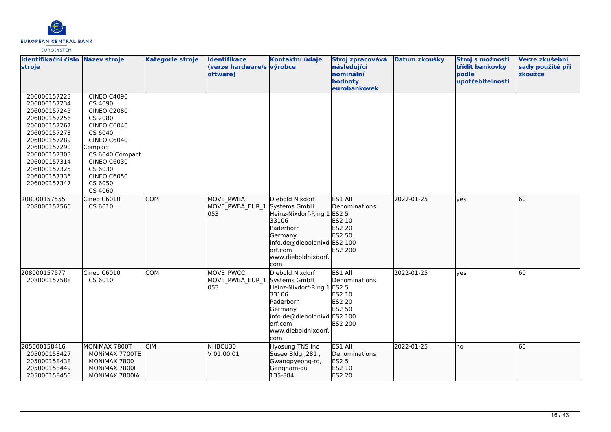

| <b>EUROSYSTEM</b> |
|-------------------|
|-------------------|

| Identifikační číslo Název stroje<br>stroje                                                                                                                                                                   |                                                                                                                                                                                                                                  | <b>Kategorie stroje</b> | <b>Identifikace</b><br>(verze hardware/s výrobce<br>oftware) | Kontaktní údaje                                                                                                                                         | Stroj zpracovává<br>následující<br>nominální<br>hodnoty<br>eurobankovek           | Datum zkoušky | Stroj s možností<br>třídit bankovky<br>podle<br>upotřebitelnosti | Verze zkušební<br>sady použité při<br>zkoužce |
|--------------------------------------------------------------------------------------------------------------------------------------------------------------------------------------------------------------|----------------------------------------------------------------------------------------------------------------------------------------------------------------------------------------------------------------------------------|-------------------------|--------------------------------------------------------------|---------------------------------------------------------------------------------------------------------------------------------------------------------|-----------------------------------------------------------------------------------|---------------|------------------------------------------------------------------|-----------------------------------------------|
| 206000157223<br>206000157234<br>206000157245<br>206000157256<br>206000157267<br>206000157278<br>206000157289<br>206000157290<br>206000157303<br>206000157314<br>206000157325<br>206000157336<br>206000157347 | <b>CINEO C4090</b><br>CS 4090<br><b>CINEO C2080</b><br>CS 2080<br><b>CINEO C6040</b><br>CS 6040<br><b>CINEO C6040</b><br>Compact<br>CS 6040 Compact<br><b>CINEO C6030</b><br>CS 6030<br><b>CINEO C6050</b><br>CS 6050<br>CS 4060 |                         |                                                              |                                                                                                                                                         |                                                                                   |               |                                                                  |                                               |
| 208000157555<br>208000157566                                                                                                                                                                                 | Cineo C6010<br>CS 6010                                                                                                                                                                                                           | <b>COM</b>              | <b>MOVE PWBA</b><br>MOVE PWBA EUR 1 Systems GmbH<br>053      | Diebold Nixdorf<br>Heinz-Nixdorf-Ring 1<br>33106<br>Paderborn<br>Germany<br>info.de@dieboldnixd ES2 100<br>orf.com<br>www.dieboldnixdorf.<br>com        | ES1 All<br>Denominations<br><b>ES2 5</b><br>ES2 10<br>ES2 20<br>ES2 50<br>ES2 200 | 2022-01-25    | ves                                                              | 60                                            |
| 208000157577<br>208000157588                                                                                                                                                                                 | Cineo C6010<br>CS 6010                                                                                                                                                                                                           | <b>COM</b>              | MOVE PWCC<br>MOVE_PWBA_EUR_1 Systems GmbH<br>053             | Diebold Nixdorf<br>Heinz-Nixdorf-Ring 1 ES2 5<br>33106<br>Paderborn<br>Germany<br>info.de@dieboldnixd ES2 100<br>lorf.com<br>www.dieboldnixdorf.<br>com | ES1 All<br>Denominations<br>ES2 10<br>ES2 20<br>ES2 50<br>ES2 200                 | 2022-01-25    | yes                                                              | 60                                            |
| 205000158416<br>205000158427<br>205000158438<br>205000158449<br>205000158450                                                                                                                                 | MONIMAX 7800T<br>MONIMAX 7700TE<br>MONIMAX 7800<br>MONIMAX 7800I<br>MONIMAX 7800IA                                                                                                                                               | <b>CIM</b>              | NHBCU30<br>V 01.00.01                                        | <b>Hyosung TNS Inc</b><br>Suseo Bldg., 281,<br>Gwangpyeong-ro,<br>Gangnam-gu<br>135-884                                                                 | ES1 All<br>Denominations<br><b>ES2 5</b><br>ES2 10<br>ES2 20                      | 2022-01-25    | lno                                                              | 60                                            |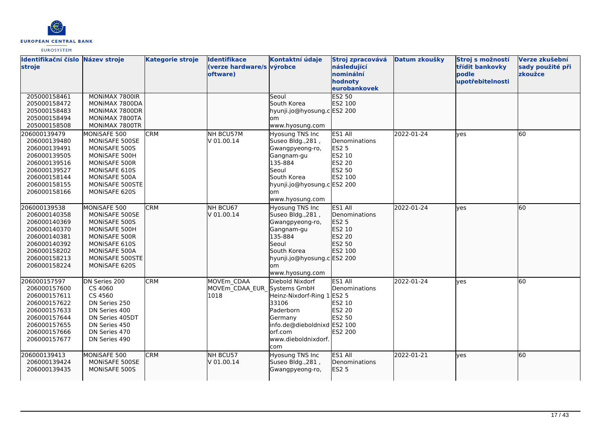

| Identifikační číslo Název stroje<br>stroje |                 | <b>Kategorie stroje</b> | <b>Identifikace</b><br>(verze hardware/s výrobce<br>oftware) | Kontaktní údaje             | Stroj zpracovává<br>následující<br>nominální<br>hodnoty | Datum zkoušky | Stroj s možností<br>třídit bankovky<br>bodle<br>upotřebitelnosti | Verze zkušební<br>sady použité při<br>zkoužce |
|--------------------------------------------|-----------------|-------------------------|--------------------------------------------------------------|-----------------------------|---------------------------------------------------------|---------------|------------------------------------------------------------------|-----------------------------------------------|
|                                            |                 |                         |                                                              |                             | eurobankovek                                            |               |                                                                  |                                               |
| 205000158461                               | MONIMAX 7800IR  |                         |                                                              | Seoul                       | <b>ES2 50</b>                                           |               |                                                                  |                                               |
| 205000158472                               | MONIMAX 7800DA  |                         |                                                              | South Korea                 | ES2 100                                                 |               |                                                                  |                                               |
| 205000158483                               | MONIMAX 7800DR  |                         |                                                              | hyunji.jo@hyosung.c ES2 200 |                                                         |               |                                                                  |                                               |
| 205000158494                               | MONIMAX 7800TA  |                         |                                                              | om                          |                                                         |               |                                                                  |                                               |
| 205000158508                               | MONIMAX 7800TR  |                         |                                                              | www.hyosung.com             |                                                         |               |                                                                  |                                               |
| 206000139479                               | MONISAFE 500    | <b>CRM</b>              | NH BCU57M                                                    | Hyosung TNS Inc             | ES1 All                                                 | 2022-01-24    | ves                                                              | 60                                            |
| 206000139480                               | MONISAFE 500SE  |                         | V 01.00.14                                                   | Suseo Bldg., 281,           | Denominations                                           |               |                                                                  |                                               |
| 206000139491                               | MONISAFE 500S   |                         |                                                              | Gwangpyeong-ro,             | <b>ES2 5</b>                                            |               |                                                                  |                                               |
| 206000139505                               | MONISAFE 500H   |                         |                                                              | Gangnam-gu                  | ES2 10                                                  |               |                                                                  |                                               |
| 206000139516                               | MONISAFE 500R   |                         |                                                              | 135-884                     | ES2 20                                                  |               |                                                                  |                                               |
| 206000139527                               | MONISAFE 610S   |                         |                                                              | <b>S</b> eoul               | ES2 50                                                  |               |                                                                  |                                               |
| 206000158144                               | MONISAFE 500A   |                         |                                                              | South Korea                 | ES2 100                                                 |               |                                                                  |                                               |
| 206000158155                               | MONISAFE 500STE |                         |                                                              | hyunji.jo@hyosung.c ES2 200 |                                                         |               |                                                                  |                                               |
| 206000158166                               | MONISAFE 620S   |                         |                                                              | om.                         |                                                         |               |                                                                  |                                               |
|                                            |                 |                         |                                                              | www.hyosung.com             |                                                         |               |                                                                  |                                               |
| 206000139538                               | MONISAFE 500    | <b>CRM</b>              | NH BCU67                                                     | Hyosung TNS Inc             | ES1 All                                                 | 2022-01-24    | lyes                                                             | 60                                            |
| 206000140358                               | MONISAFE 500SE  |                         | V 01.00.14                                                   | Suseo Bldg., 281,           | Denominations                                           |               |                                                                  |                                               |
| 206000140369                               | MONISAFE 500S   |                         |                                                              | Gwangpyeong-ro,             | ES2 5                                                   |               |                                                                  |                                               |
| 206000140370                               | MONISAFE 500H   |                         |                                                              | Gangnam-gu                  | ES2 10                                                  |               |                                                                  |                                               |
| 206000140381                               | MONISAFE 500R   |                         |                                                              | 135-884                     | ES2 20                                                  |               |                                                                  |                                               |
| 206000140392                               | MONISAFE 610S   |                         |                                                              | Seoul                       | ES2 50                                                  |               |                                                                  |                                               |
| 206000158202                               | MONISAFE 500A   |                         |                                                              | South Korea                 | ES2 100                                                 |               |                                                                  |                                               |
| 206000158213                               | MONISAFE 500STE |                         |                                                              | hyunji.jo@hyosung.c ES2 200 |                                                         |               |                                                                  |                                               |
| 206000158224                               | MONISAFE 620S   |                         |                                                              | lom                         |                                                         |               |                                                                  |                                               |
|                                            |                 |                         |                                                              | www.hyosung.com             |                                                         |               |                                                                  |                                               |
| 206000157597                               | DN Series 200   | <b>CRM</b>              | MOVEm CDAA                                                   | Diebold Nixdorf             | ES1 All                                                 | 2022-01-24    | lves                                                             | 60                                            |
| 206000157600                               | CS 4060         |                         | MOVEm CDAA EUR Systems GmbH                                  |                             | Denominations                                           |               |                                                                  |                                               |
| 206000157611                               | CS 4560         |                         | 1018                                                         | Heinz-Nixdorf-Ring 1        | <b>ES2 5</b>                                            |               |                                                                  |                                               |
| 206000157622                               | DN Series 250   |                         |                                                              | 33106                       | ES2 10                                                  |               |                                                                  |                                               |
| 206000157633                               | DN Series 400   |                         |                                                              | Paderborn                   | <b>ES2 20</b>                                           |               |                                                                  |                                               |
| 206000157644                               | DN Series 405DT |                         |                                                              | Germany                     | ES2 50                                                  |               |                                                                  |                                               |
| 206000157655                               | DN Series 450   |                         |                                                              | info.de@dieboldnixd ES2 100 |                                                         |               |                                                                  |                                               |
| 206000157666                               | DN Series 470   |                         |                                                              | lorf.com                    | <b>ES2 200</b>                                          |               |                                                                  |                                               |
| 206000157677                               | DN Series 490   |                         |                                                              | www.dieboldnixdorf.         |                                                         |               |                                                                  |                                               |
|                                            |                 |                         |                                                              | com                         |                                                         |               |                                                                  |                                               |
| 206000139413                               | MONISAFE 500    | <b>CRM</b>              | NH BCU57                                                     | Hyosung TNS Inc             | ES1 All                                                 | 2022-01-21    | lves                                                             | 60                                            |
| 206000139424                               | MONISAFE 500SE  |                         | V 01.00.14                                                   | Suseo Bldg., 281,           | Denominations                                           |               |                                                                  |                                               |
| 206000139435                               | MONISAFE 500S   |                         |                                                              | Gwangpyeong-ro,             | <b>ES2 5</b>                                            |               |                                                                  |                                               |
|                                            |                 |                         |                                                              |                             |                                                         |               |                                                                  |                                               |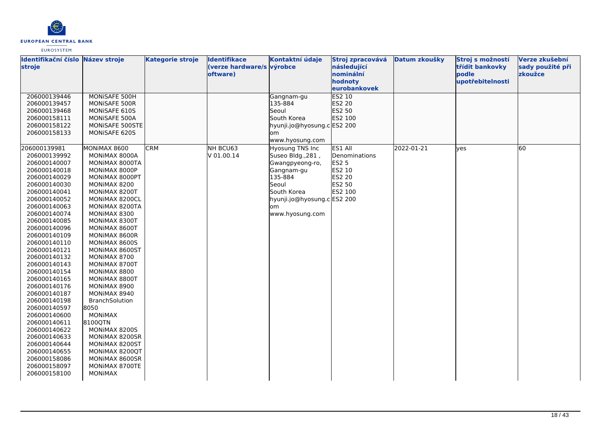

| Identifikační číslo Název stroje<br>stroje                                                                                                                                                                                                                                                                                                                                                                                                                                                                                   |                                                                                                                                                                                                                                                                                                                                                                                                                                                                                                                                                            | <b>Kategorie stroje</b> | <b>Identifikace</b><br>(verze hardware/s výrobce<br>oftware) | Kontaktní údaje                                                                                                                                                          | Stroj zpracovává<br>následující<br>nominální<br>hodnoty<br>eurobankovek    | Datum zkoušky | Stroj s možností<br>třídit bankovky<br>podle<br>upotřebitelnosti | Verze zkušební<br>sady použité při<br>zkoužce |
|------------------------------------------------------------------------------------------------------------------------------------------------------------------------------------------------------------------------------------------------------------------------------------------------------------------------------------------------------------------------------------------------------------------------------------------------------------------------------------------------------------------------------|------------------------------------------------------------------------------------------------------------------------------------------------------------------------------------------------------------------------------------------------------------------------------------------------------------------------------------------------------------------------------------------------------------------------------------------------------------------------------------------------------------------------------------------------------------|-------------------------|--------------------------------------------------------------|--------------------------------------------------------------------------------------------------------------------------------------------------------------------------|----------------------------------------------------------------------------|---------------|------------------------------------------------------------------|-----------------------------------------------|
| 206000139446<br>206000139457<br>206000139468<br>206000158111<br>206000158122<br>206000158133                                                                                                                                                                                                                                                                                                                                                                                                                                 | MONISAFE 500H<br>MONISAFE 500R<br>MONISAFE 610S<br>MONISAFE 500A<br>MONISAFE 500STE<br>MONISAFE 620S                                                                                                                                                                                                                                                                                                                                                                                                                                                       |                         |                                                              | Gangnam-gu<br>135-884<br>Seoul<br>South Korea<br>hyunji.jo@hyosung.c ES2 200<br>om<br>www.hyosung.com                                                                    | <b>ES2 10</b><br>ES2 20<br>ES2 50<br>ES2 100                               |               |                                                                  |                                               |
| 206000139981<br>206000139992<br>206000140007<br>206000140018<br>206000140029<br>206000140030<br>206000140041<br>206000140052<br>206000140063<br>206000140074<br>206000140085<br>206000140096<br>206000140109<br>206000140110<br>206000140121<br>206000140132<br>206000140143<br>206000140154<br>206000140165<br>206000140176<br>206000140187<br>206000140198<br>206000140597<br>206000140600<br>206000140611<br>206000140622<br>206000140633<br>206000140644<br>206000140655<br>206000158086<br>206000158097<br>206000158100 | MONIMAX 8600<br>MONIMAX 8000A<br>MONIMAX 8000TA<br>MONIMAX 8000P<br>MONIMAX 8000PT<br>MONIMAX 8200<br>MONIMAX 8200T<br>MONIMAX 8200CL<br>MONIMAX 8200TA<br>MONIMAX 8300<br>MONIMAX 8300T<br>MONIMAX 8600T<br>MONIMAX 8600R<br>MONIMAX 8600S<br>MONIMAX 8600ST<br>MONIMAX 8700<br>MONIMAX 8700T<br>MONIMAX 8800<br>MONIMAX 8800T<br>MONIMAX 8900<br>MONIMAX 8940<br><b>BranchSolution</b><br>8050<br><b>MONIMAX</b><br>8100QTN<br>MONIMAX 8200S<br>MONIMAX 8200SR<br>MONIMAX 8200ST<br>MONIMAX 8200QT<br>MONIMAX 8600SR<br>MONIMAX 8700TE<br><b>MONIMAX</b> | <b>CRM</b>              | NH BCU63<br>V 01.00.14                                       | <b>Hyosung TNS Inc</b><br>Suseo Bldg., 281,<br>Gwangpyeong-ro,<br>Gangnam-gu<br>135-884<br>Seoul<br>South Korea<br>hyunji.jo@hyosung.c ES2 200<br>lom<br>www.hyosung.com | ES1 All<br>Denominations<br>ES2 5<br>ES2 10<br>ES2 20<br>ES2 50<br>ES2 100 | 2022-01-21    | <b>ves</b>                                                       | 60                                            |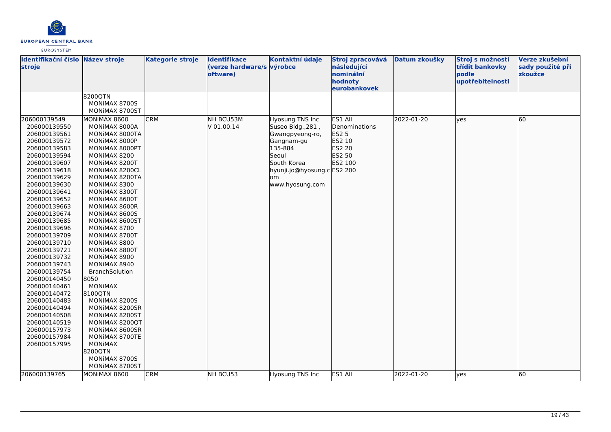

| Identifikační číslo Název stroje<br>stroje                                                                                                                                                                                                                                                                                                                                                                                                                                                                                   |                                                                                                                                                                                                                                                                                                                                                                                                                                                                                                                                                                                                   | <b>Kategorie stroje</b> | <b>Identifikace</b><br>(verze hardware/s výrobce<br>oftware) | Kontaktní údaje                                                                                                                                                  | Stroj zpracovává<br>následující<br>nominální<br>hodnoty<br>eurobankovek           | Datum zkoušky | Stroj s možností<br>třídit bankovky<br>podle<br>upotřebitelnosti | Verze zkušební<br>sady použité při<br>zkoužce |
|------------------------------------------------------------------------------------------------------------------------------------------------------------------------------------------------------------------------------------------------------------------------------------------------------------------------------------------------------------------------------------------------------------------------------------------------------------------------------------------------------------------------------|---------------------------------------------------------------------------------------------------------------------------------------------------------------------------------------------------------------------------------------------------------------------------------------------------------------------------------------------------------------------------------------------------------------------------------------------------------------------------------------------------------------------------------------------------------------------------------------------------|-------------------------|--------------------------------------------------------------|------------------------------------------------------------------------------------------------------------------------------------------------------------------|-----------------------------------------------------------------------------------|---------------|------------------------------------------------------------------|-----------------------------------------------|
|                                                                                                                                                                                                                                                                                                                                                                                                                                                                                                                              | 8200QTN<br>MONIMAX 8700S<br>MONIMAX 8700ST                                                                                                                                                                                                                                                                                                                                                                                                                                                                                                                                                        |                         |                                                              |                                                                                                                                                                  |                                                                                   |               |                                                                  |                                               |
| 206000139549<br>206000139550<br>206000139561<br>206000139572<br>206000139583<br>206000139594<br>206000139607<br>206000139618<br>206000139629<br>206000139630<br>206000139641<br>206000139652<br>206000139663<br>206000139674<br>206000139685<br>206000139696<br>206000139709<br>206000139710<br>206000139721<br>206000139732<br>206000139743<br>206000139754<br>206000140450<br>206000140461<br>206000140472<br>206000140483<br>206000140494<br>206000140508<br>206000140519<br>206000157973<br>206000157984<br>206000157995 | MONIMAX 8600<br>MONIMAX 8000A<br>MONIMAX 8000TA<br>MONIMAX 8000P<br>MONIMAX 8000PT<br>MONIMAX 8200<br>MONIMAX 8200T<br>MONIMAX 8200CL<br>MONIMAX 8200TA<br>MONIMAX 8300<br>MONIMAX 8300T<br>MONIMAX 8600T<br>MONIMAX 8600R<br>MONIMAX 8600S<br>MONIMAX 8600ST<br>MONIMAX 8700<br>MONIMAX 8700T<br>MONIMAX 8800<br>MONIMAX 8800T<br>MONIMAX 8900<br>MONIMAX 8940<br>BranchSolution<br>8050<br><b>MONIMAX</b><br>8100QTN<br>MONIMAX 8200S<br>MONIMAX 8200SR<br>MONIMAX 8200ST<br>MONIMAX 8200QT<br>MONIMAX 8600SR<br>MONIMAX 8700TE<br><b>MONIMAX</b><br>8200QTN<br>MONIMAX 8700S<br>MONIMAX 8700ST | <b>CRM</b>              | NH BCU53M<br>V 01.00.14                                      | Hyosung TNS Inc<br>Suseo Bldg., 281,<br>Gwangpyeong-ro,<br>Gangnam-gu<br>135-884<br>Seoul<br>South Korea<br>hyunji.jo@hyosung.c ES2 200<br>om<br>www.hyosung.com | ES1 All<br>Denominations<br><b>ES2 5</b><br>ES2 10<br>ES2 20<br>ES2 50<br>ES2 100 | 2022-01-20    | lves                                                             | 60                                            |
| 206000139765                                                                                                                                                                                                                                                                                                                                                                                                                                                                                                                 | MONIMAX 8600                                                                                                                                                                                                                                                                                                                                                                                                                                                                                                                                                                                      | <b>CRM</b>              | NH BCU53                                                     | Hyosung TNS Inc                                                                                                                                                  | ES1 All                                                                           | 2022-01-20    | lyes                                                             | 60                                            |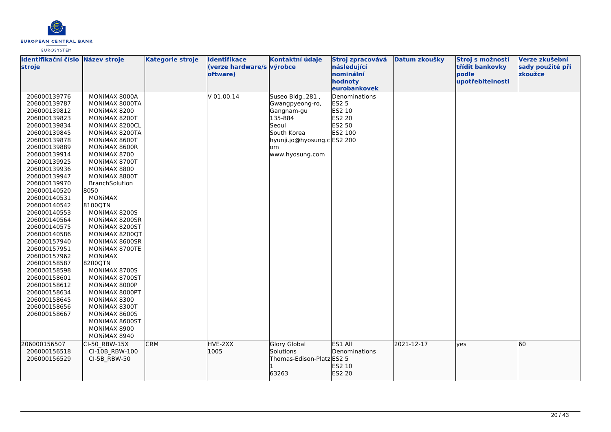

| Identifikační číslo Název stroje<br>stroje                                                                                                                                                                                                                                                                                                                                                                                                                                                                   |                                                                                                                                                                                                                                                                                                                                                                                                                                                                                                                                 | <b>Kategorie stroje</b> | <b>Identifikace</b><br>(verze hardware/s výrobce<br>oftware) | Kontaktní údaje                                                                                                                              | Stroj zpracovává<br>následující<br>nominální<br>hodnoty<br>eurobankovek | Datum zkoušky | Stroj s možností<br>třídit bankovky<br>bodle<br>upotřebitelnosti | Verze zkušební<br>sady použité při<br>zkoužce |
|--------------------------------------------------------------------------------------------------------------------------------------------------------------------------------------------------------------------------------------------------------------------------------------------------------------------------------------------------------------------------------------------------------------------------------------------------------------------------------------------------------------|---------------------------------------------------------------------------------------------------------------------------------------------------------------------------------------------------------------------------------------------------------------------------------------------------------------------------------------------------------------------------------------------------------------------------------------------------------------------------------------------------------------------------------|-------------------------|--------------------------------------------------------------|----------------------------------------------------------------------------------------------------------------------------------------------|-------------------------------------------------------------------------|---------------|------------------------------------------------------------------|-----------------------------------------------|
| 206000139776<br>206000139787<br>206000139812<br>206000139823<br>206000139834<br>206000139845<br>206000139878<br>206000139889<br>206000139914<br>206000139925<br>206000139936<br>206000139947<br>206000139970<br>206000140520<br>206000140531<br>206000140542<br>206000140553<br>206000140564<br>206000140575<br>206000140586<br>206000157940<br>206000157951<br>206000157962<br>206000158587<br>206000158598<br>206000158601<br>206000158612<br>206000158634<br>206000158645<br>206000158656<br>206000158667 | MONIMAX 8000A<br>MONIMAX 8000TA<br>MONIMAX 8200<br>MONIMAX 8200T<br>MONIMAX 8200CL<br>MONIMAX 8200TA<br>MONIMAX 8600T<br>MONIMAX 8600R<br>MONIMAX 8700<br>MONIMAX 8700T<br>MONIMAX 8800<br>MONIMAX 8800T<br>BranchSolution<br>8050<br><b>MONIMAX</b><br>81000TN<br>MONIMAX 8200S<br>MONIMAX 8200SR<br>MONIMAX 8200ST<br>MONIMAX 8200QT<br>MONIMAX 8600SR<br>MONIMAX 8700TE<br><b>MONIMAX</b><br>8200QTN<br>MONIMAX 8700S<br>MONIMAX 8700ST<br>MONIMAX 8000P<br>MONIMAX 8000PT<br>MONIMAX 8300<br>MONIMAX 8300T<br>MONIMAX 8600S |                         | $V$ 01.00.14                                                 | Suseo Bldg., 281,<br>Gwangpyeong-ro,<br>Gangnam-gu<br>135-884<br>Seoul<br>South Korea<br>hyunji.jo@hyosung.cES2 200<br>om<br>www.hyosung.com | Denominations<br>ES2 5<br>ES2 10<br>ES2 20<br>ES2 50<br>ES2 100         |               |                                                                  |                                               |
|                                                                                                                                                                                                                                                                                                                                                                                                                                                                                                              | MONIMAX 8600ST<br>MONIMAX 8900<br>MONIMAX 8940                                                                                                                                                                                                                                                                                                                                                                                                                                                                                  |                         |                                                              |                                                                                                                                              |                                                                         |               |                                                                  |                                               |
| 206000156507<br>206000156518<br>206000156529                                                                                                                                                                                                                                                                                                                                                                                                                                                                 | CI-50 RBW-15X<br>CI-10B RBW-100<br>CI-5B RBW-50                                                                                                                                                                                                                                                                                                                                                                                                                                                                                 | <b>CRM</b>              | HVE-2XX<br>1005                                              | <b>Glory Global</b><br>Solutions<br>Thomas-Edison-Platz ES2 5<br>63263                                                                       | ES1 All<br>Denominations<br>ES2 10<br>ES2 20                            | 2021-12-17    | yes                                                              | 60                                            |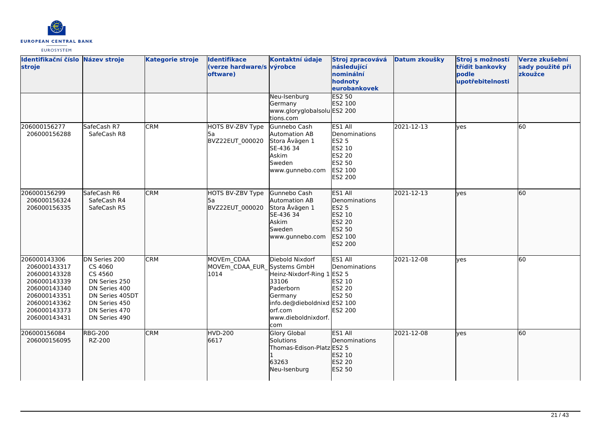

| Identifikační číslo Název stroje<br>stroje                                                                                                   |                                                                                                                                             | <b>Kategorie stroje</b> | <b>Identifikace</b><br>(verze hardware/s výrobce<br>oftware) | Kontaktní údaje                                                                                                                                        | Stroj zpracovává<br>následující<br>nominální<br>hodnoty<br>eurobankovek                             | Datum zkoušky | Stroj s možností<br>třídit bankovky<br>podle<br>upotřebitelnosti | Verze zkušební<br>sady použité při<br>zkoužce |
|----------------------------------------------------------------------------------------------------------------------------------------------|---------------------------------------------------------------------------------------------------------------------------------------------|-------------------------|--------------------------------------------------------------|--------------------------------------------------------------------------------------------------------------------------------------------------------|-----------------------------------------------------------------------------------------------------|---------------|------------------------------------------------------------------|-----------------------------------------------|
|                                                                                                                                              |                                                                                                                                             |                         |                                                              | Neu-Isenburg<br>Germany<br>www.gloryglobalsolu ES2 200<br>tions.com                                                                                    | <b>ES2 50</b><br>ES2 100                                                                            |               |                                                                  |                                               |
| 206000156277<br>206000156288                                                                                                                 | SafeCash R7<br>SafeCash R8                                                                                                                  | <b>CRM</b>              | HOTS BV-ZBV Type<br>5а<br>BVZ22EUT_000020                    | Gunnebo Cash<br>Automation AB<br>Stora Åvägen 1<br>SE-436 34<br>Askim<br>Sweden<br>www.gunnebo.com                                                     | ES1 All<br>Denominations<br><b>ES2 5</b><br>ES2 10<br>ES2 20<br>ES2 50<br>ES2 100<br><b>ES2 200</b> | 2021-12-13    | lyes                                                             | 60                                            |
| 206000156299<br>206000156324<br>206000156335                                                                                                 | SafeCash R6<br>SafeCash R4<br>SafeCash R5                                                                                                   | <b>CRM</b>              | HOTS BV-ZBV Type<br>l5a<br>BVZ22EUT 000020                   | Gunnebo Cash<br>Automation AB<br>Stora Åvägen 1<br>SE-436 34<br>Askim<br>Sweden<br>www.gunnebo.com                                                     | <b>ES1 All</b><br>Denominations<br>ES2 5<br>ES2 10<br>ES2 20<br>ES2 50<br>ES2 100<br>ES2 200        | 2021-12-13    | lyes                                                             | 60                                            |
| 206000143306<br>206000143317<br>206000143328<br>206000143339<br>206000143340<br>206000143351<br>206000143362<br>206000143373<br>206000143431 | DN Series 200<br>CS 4060<br>CS 4560<br>DN Series 250<br>DN Series 400<br>DN Series 405DT<br>DN Series 450<br>DN Series 470<br>DN Series 490 | <b>CRM</b>              | MOVEm CDAA<br>MOVEm_CDAA_EUR_Systems GmbH<br>1014            | Diebold Nixdorf<br>Heinz-Nixdorf-Ring 1 ES2 5<br>33106<br>Paderborn<br>Germany<br>info.de@dieboldnixd ES2 100<br>orf.com<br>www.dieboldnixdorf.<br>com | ES1 All<br>Denominations<br>ES2 10<br><b>ES2 20</b><br>ES2 50<br><b>ES2 200</b>                     | 2021-12-08    | lves                                                             | 60                                            |
| 206000156084<br>206000156095                                                                                                                 | <b>RBG-200</b><br>RZ-200                                                                                                                    | <b>CRM</b>              | <b>HVD-200</b><br>6617                                       | <b>Glory Global</b><br>Solutions<br>Thomas-Edison-Platz ES2 5<br>63263<br>Neu-Isenburg                                                                 | ES1 All<br><b>IDenominations</b><br>ES2 10<br>ES2 20<br>ES2 50                                      | 2021-12-08    | lves                                                             | 60                                            |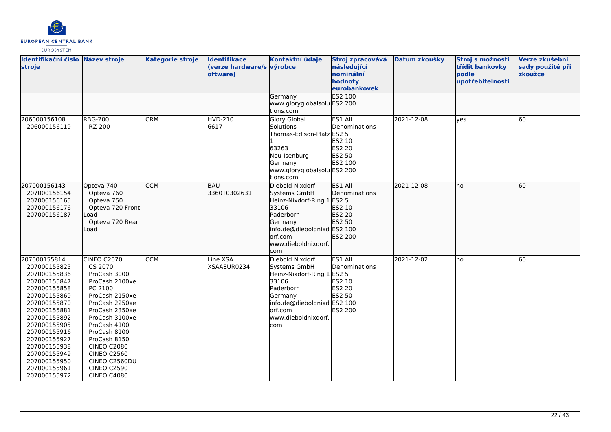

| Identifikační číslo Název stroje<br>stroje                                                                                                                                                                                                                                   |                                                                                                                                                                                                                                                                                                             | <b>Kategorie stroje</b> | <b>Identifikace</b><br>(verze hardware/s výrobce<br>oftware) | Kontaktní údaje                                                                                                                                                        | Stroj zpracovává<br>následující<br>nominální<br>hodnoty<br>eurobankovek | Datum zkoušky | Stroj s možností<br>třídit bankovky<br>podle<br>upotřebitelnosti | Verze zkušební<br>sady použité při<br>zkoužce |
|------------------------------------------------------------------------------------------------------------------------------------------------------------------------------------------------------------------------------------------------------------------------------|-------------------------------------------------------------------------------------------------------------------------------------------------------------------------------------------------------------------------------------------------------------------------------------------------------------|-------------------------|--------------------------------------------------------------|------------------------------------------------------------------------------------------------------------------------------------------------------------------------|-------------------------------------------------------------------------|---------------|------------------------------------------------------------------|-----------------------------------------------|
|                                                                                                                                                                                                                                                                              |                                                                                                                                                                                                                                                                                                             |                         |                                                              | Germany<br>www.gloryglobalsolu ES2 200<br>tions.com                                                                                                                    | <b>ES2 100</b>                                                          |               |                                                                  |                                               |
| 206000156108<br>206000156119                                                                                                                                                                                                                                                 | <b>RBG-200</b><br>RZ-200                                                                                                                                                                                                                                                                                    | <b>CRM</b>              | HVD-210<br>6617                                              | Glory Global<br>Solutions<br>Thomas-Edison-Platz ES2 5<br>63263<br>Neu-Isenburg<br>Germany<br>www.gloryglobalsolu ES2 200<br>tions.com                                 | ES1 All<br>Denominations<br>ES2 10<br>ES2 20<br>ES2 50<br>ES2 100       | 2021-12-08    | yes                                                              | 60                                            |
| 207000156143<br>207000156154<br>207000156165<br>207000156176<br>207000156187                                                                                                                                                                                                 | Opteva 740<br>Opteva 760<br>Opteva 750<br>Opteva 720 Front<br>Load<br>Opteva 720 Rear<br>Load                                                                                                                                                                                                               | <b>CCM</b>              | <b>BAU</b><br>3360T0302631                                   | Diebold Nixdorf<br>Systems GmbH<br>Heinz-Nixdorf-Ring 1 ES2 5<br>33106<br>Paderborn<br>Germany<br>info.de@dieboldnixd ES2 100<br>orf.com<br>www.dieboldnixdorf.<br>com | ES1 All<br>Denominations<br>ES2 10<br>ES2 20<br>ES2 50<br>ES2 200       | 2021-12-08    | lno                                                              | 60                                            |
| 207000155814<br>207000155825<br>207000155836<br>207000155847<br>207000155858<br>207000155869<br>207000155870<br>207000155881<br>207000155892<br>207000155905<br>207000155916<br>207000155927<br>207000155938<br>207000155949<br>207000155950<br>207000155961<br>207000155972 | <b>CINEO C2070</b><br>CS 2070<br>ProCash 3000<br>ProCash 2100xe<br>PC 2100<br>ProCash 2150xe<br>ProCash 2250xe<br>ProCash 2350xe<br>ProCash 3100xe<br>ProCash 4100<br>ProCash 8100<br>ProCash 8150<br><b>CINEO C2080</b><br><b>CINEO C2560</b><br>CINEO C2560DU<br><b>CINEO C2590</b><br><b>CINEO C4080</b> | <b>CCM</b>              | Line XSA<br>XSAAEUR0234                                      | Diebold Nixdorf<br>Systems GmbH<br>Heinz-Nixdorf-Ring 1 ES2 5<br>33106<br>Paderborn<br>Germany<br>info.de@dieboldnixd ES2 100<br>orf.com<br>www.dieboldnixdorf.<br>com | ES1 All<br>Denominations<br>ES2 10<br>ES2 20<br>ES2 50<br>ES2 200       | 2021-12-02    | lno                                                              | 60                                            |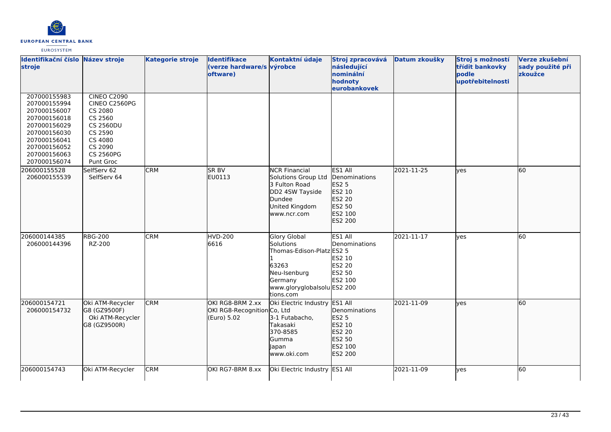

| <b>EUROSYSTEM</b> |  |
|-------------------|--|
|                   |  |

| Identifikační číslo Název stroje<br>stroje                                                                                                                   |                                                                                                                                                 | <b>Kategorie stroje</b> | <b>Identifikace</b><br>(verze hardware/s výrobce<br>oftware)   | Kontaktní údaje                                                                                                                                      | Stroj zpracovává<br>následující<br>nominální<br>hodnoty<br>eurobankovek                      | Datum zkoušky | Stroj s možností<br>třídit bankovky<br>bodle<br>upotřebitelnosti | Verze zkušební<br>sady použité při<br>zkoužce |
|--------------------------------------------------------------------------------------------------------------------------------------------------------------|-------------------------------------------------------------------------------------------------------------------------------------------------|-------------------------|----------------------------------------------------------------|------------------------------------------------------------------------------------------------------------------------------------------------------|----------------------------------------------------------------------------------------------|---------------|------------------------------------------------------------------|-----------------------------------------------|
| 207000155983<br>207000155994<br>207000156007<br>207000156018<br>207000156029<br>207000156030<br>207000156041<br>207000156052<br>207000156063<br>207000156074 | <b>CINEO C2090</b><br>CINEO C2560PG<br>CS 2080<br>CS 2560<br><b>CS 2560DU</b><br>CS 2590<br>CS 4080<br>CS 2090<br><b>CS 2560PG</b><br>Punt Groc |                         |                                                                |                                                                                                                                                      |                                                                                              |               |                                                                  |                                               |
| 206000155528<br>206000155539                                                                                                                                 | SelfServ 62<br>SelfServ 64                                                                                                                      | <b>CRM</b>              | <b>SRBV</b><br>EU0113                                          | <b>NCR Financial</b><br>Solutions Group Ltd<br>3 Fulton Road<br>DD2 4SW Tayside<br>Dundee<br>United Kingdom<br>www.ncr.com                           | ES1 All<br>Denominations<br><b>ES2 5</b><br>ES2 10<br>ES2 20<br>ES2 50<br>ES2 100<br>ES2 200 | 2021-11-25    | lves                                                             | 60                                            |
| 206000144385<br>206000144396                                                                                                                                 | <b>RBG-200</b><br>RZ-200                                                                                                                        | <b>CRM</b>              | <b>HVD-200</b><br>6616                                         | <b>Glory Global</b><br><b>Solutions</b><br>Thomas-Edison-Platz ES2 5<br>63263<br>Neu-Isenburg<br>Germany<br>www.gloryglobalsolu ES2 200<br>tions.com | ES1 All<br>Denominations<br>ES2 10<br><b>ES2 20</b><br>ES2 50<br>ES2 100                     | 2021-11-17    | lves                                                             | 60                                            |
| 206000154721<br>206000154732                                                                                                                                 | Oki ATM-Recycler<br>G8 (GZ9500F)<br>Oki ATM-Recycler<br>G8 (GZ9500R)                                                                            | <b>CRM</b>              | OKI RG8-BRM 2.xx<br>OKI RG8-Recognition Co, Ltd<br>(Euro) 5.02 | Oki Electric Industry ES1 All<br>3-1 Futabacho,<br>Takasaki<br>370-8585<br>Gumma<br>Japan<br>www.oki.com                                             | Denominations<br>ES2 5<br>ES2 10<br>ES2 20<br>ES2 50<br>ES2 100<br>ES2 200                   | 2021-11-09    | ves                                                              | 60                                            |
| 206000154743                                                                                                                                                 | Oki ATM-Recycler                                                                                                                                | <b>CRM</b>              | OKI RG7-BRM 8.xx                                               | Oki Electric Industry ES1 All                                                                                                                        |                                                                                              | 2021-11-09    | ves                                                              | 60                                            |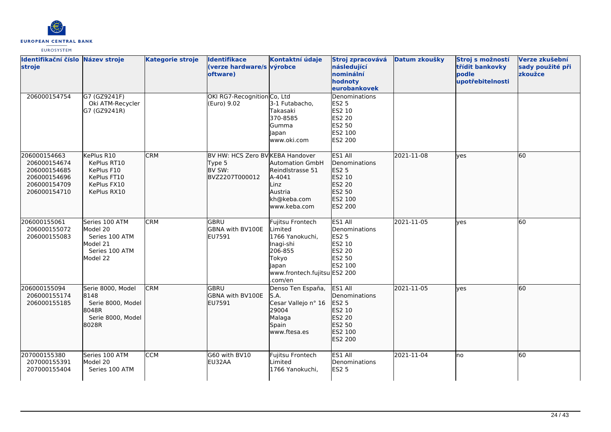

| Identifikační číslo Název stroje<br>stroje                                                   |                                                                                        | <b>Kategorie stroje</b> | <b>Identifikace</b><br>(verze hardware/s výrobce<br>oftware)           | Kontaktní údaje                                                                                                                     | Stroj zpracovává<br>následující<br>nominální<br>hodnoty<br>eurobankovek                         | Datum zkoušky | Stroj s možností<br>třídit bankovky<br>podle<br>upotřebitelnosti | Verze zkušební<br>sady použité při<br>zkoužce |
|----------------------------------------------------------------------------------------------|----------------------------------------------------------------------------------------|-------------------------|------------------------------------------------------------------------|-------------------------------------------------------------------------------------------------------------------------------------|-------------------------------------------------------------------------------------------------|---------------|------------------------------------------------------------------|-----------------------------------------------|
| 206000154754                                                                                 | G7 (GZ9241F)<br>Oki ATM-Recycler<br>G7 (GZ9241R)                                       |                         | OKI RG7-Recognition Co, Ltd<br>(Euro) 9.02                             | 3-1 Futabacho,<br>Takasaki<br>370-8585<br>Gumma<br>Japan<br>www.oki.com                                                             | <b>Denominations</b><br><b>ES2 5</b><br>ES2 10<br><b>ES2 20</b><br>ES2 50<br>ES2 100<br>ES2 200 |               |                                                                  |                                               |
| 206000154663<br>206000154674<br>206000154685<br>206000154696<br>206000154709<br>206000154710 | KePlus R10<br>KePlus RT10<br>KePlus F10<br>KePlus FT10<br>KePlus FX10<br>KePlus RX10   | <b>CRM</b>              | BV HW: HCS Zero BV KEBA Handover<br>Type 5<br>BV SW:<br>BVZ2207T000012 | <b>Automation GmbH</b><br>Reindlstrasse 51<br>A-4041<br>Linz<br>Austria<br>kh@keba.com<br>www.keba.com                              | ES1 All<br>Denominations<br>ES2 5<br>ES2 10<br>ES2 20<br>ES2 50<br>ES2 100<br>ES2 200           | 2021-11-08    | lyes                                                             | 60                                            |
| 206000155061<br>206000155072<br>206000155083                                                 | Series 100 ATM<br>Model 20<br>Series 100 ATM<br>Model 21<br>Series 100 ATM<br>Model 22 | <b>CRM</b>              | lgbru<br><b>GBNA with BV100E</b><br>EU7591                             | Fujitsu Frontech<br>Limited<br>1766 Yanokuchi,<br>Inagi-shi<br>206-855<br>Tokyo<br>Japan<br>www.frontech.fujitsu ES2 200<br>.com/en | ES1 All<br>Denominations<br><b>ES2 5</b><br>ES2 10<br><b>ES2 20</b><br>ES2 50<br>ES2 100        | 2021-11-05    | lyes                                                             | 60                                            |
| 206000155094<br>206000155174<br>206000155185                                                 | Serie 8000, Model<br>8148<br>Serie 8000, Model<br>8048R<br>Serie 8000, Model<br>8028R  | <b>CRM</b>              | <b>GBRU</b><br>GBNA with BV100E<br>EU7591                              | Denso Ten España,<br>S.A.<br>Cesar Vallejo nº 16<br>29004<br>Malaga<br>Spain<br>www.ftesa.es                                        | ES1 All<br>Denominations<br>ES2 5<br>ES2 10<br>ES2 20<br>ES2 50<br>ES2 100<br>ES2 200           | 2021-11-05    | lyes                                                             | 60                                            |
| 207000155380<br>207000155391<br>207000155404                                                 | Series 100 ATM<br>Model 20<br>Series 100 ATM                                           | <b>CCM</b>              | G60 with BV10<br>EU32AA                                                | Fujitsu Frontech<br>Limited<br>1766 Yanokuchi,                                                                                      | ES1 All<br>Denominations<br><b>ES2 5</b>                                                        | 2021-11-04    | lno                                                              | 60                                            |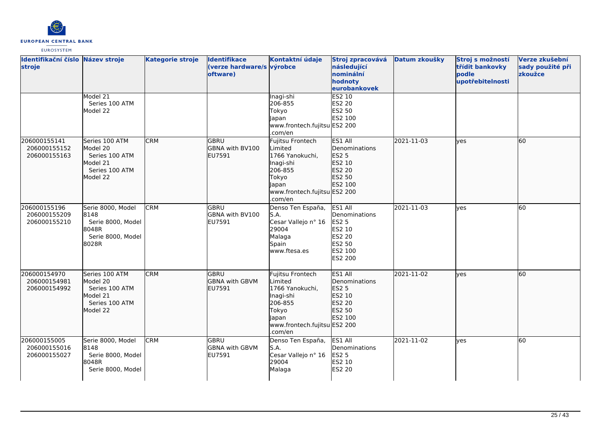

| Identifikační číslo Název stroje<br>stroje   |                                                                                        | <b>Kategorie stroje</b> | <b>Identifikace</b><br>(verze hardware/s výrobce<br>oftware) | Kontaktní údaje                                                                                                                     | Stroj zpracovává<br>následující<br>nominální<br>hodnoty<br>eurobankovek                                    | Datum zkoušky | Stroj s možností<br>třídit bankovky<br>podle<br>upotřebitelnosti | Verze zkušební<br>sady použité při<br>zkoužce |
|----------------------------------------------|----------------------------------------------------------------------------------------|-------------------------|--------------------------------------------------------------|-------------------------------------------------------------------------------------------------------------------------------------|------------------------------------------------------------------------------------------------------------|---------------|------------------------------------------------------------------|-----------------------------------------------|
|                                              | Model 21<br>Series 100 ATM<br>Model 22                                                 |                         |                                                              | Inagi-shi<br>206-855<br>Tokyo<br>Japan<br>www.frontech.fujitsu ES2 200<br>.com/en                                                   | ES2 10<br>ES2 20<br>ES2 50<br>ES2 100                                                                      |               |                                                                  |                                               |
| 206000155141<br>206000155152<br>206000155163 | Series 100 ATM<br>Model 20<br>Series 100 ATM<br>Model 21<br>Series 100 ATM<br>Model 22 | <b>CRM</b>              | <b>GBRU</b><br>GBNA with BV100<br>EU7591                     | Fujitsu Frontech<br>Limited<br>1766 Yanokuchi,<br>Inagi-shi<br>206-855<br>Tokyo<br>Japan<br>www.frontech.fujitsu ES2 200<br>.com/en | ES1 All<br>Denominations<br>ES2 5<br>ES2 10<br>ES2 20<br>ES2 50<br>ES2 100                                 | 2021-11-03    | ves                                                              | 60                                            |
| 206000155196<br>206000155209<br>206000155210 | Serie 8000, Model<br>8148<br>Serie 8000, Model<br>8048R<br>Serie 8000, Model<br>8028R  | <b>CRM</b>              | lgbru<br><b>GBNA with BV100</b><br>EU7591                    | Denso Ten España,<br>S.A.<br>Cesar Vallejo nº 16<br>29004<br>Malaga<br>Spain<br>www.ftesa.es                                        | ES1 All<br>Denominations<br><b>ES2 5</b><br>ES2 10<br><b>ES2 20</b><br>ES2 50<br>ES2 100<br><b>ES2 200</b> | 2021-11-03    | ves                                                              | 60                                            |
| 206000154970<br>206000154981<br>206000154992 | Series 100 ATM<br>Model 20<br>Series 100 ATM<br>Model 21<br>Series 100 ATM<br>Model 22 | <b>CRM</b>              | lgbru<br><b>GBNA</b> with GBVM<br>EU7591                     | Fujitsu Frontech<br>Limited<br>1766 Yanokuchi,<br>Inagi-shi<br>206-855<br>Tokyo<br>Japan<br>www.frontech.fujitsu ES2 200<br>.com/en | ES1 All<br>Denominations<br><b>ES2 5</b><br>ES2 10<br>ES2 20<br>ES2 50<br>ES2 100                          | 2021-11-02    | ves                                                              | 60                                            |
| 206000155005<br>206000155016<br>206000155027 | Serie 8000, Model<br>8148<br>Serie 8000, Model<br>8048R<br>Serie 8000, Model           | <b>CRM</b>              | lgbru<br><b>GBNA with GBVM</b><br>EU7591                     | Denso Ten España,<br>S.A.<br>Cesar Vallejo nº 16<br>29004<br>Malaga                                                                 | ES1 All<br>Denominations<br>ES2 5<br>ES2 10<br><b>ES2 20</b>                                               | 2021-11-02    | lves                                                             | 60                                            |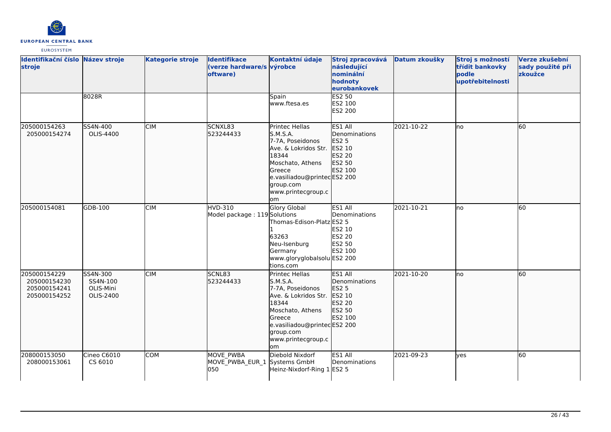

| Identifikační číslo Název stroje<br>stroje                   |                                                | <b>Kategorie stroje</b> | <b>Identifikace</b><br>(verze hardware/s výrobce<br>oftware) | Kontaktní údaje                                                                                                                                                                        | Stroj zpracovává<br>následující<br>nominální<br>hodnoty<br>eurobankovek                  | Datum zkoušky | Stroj s možností<br>třídit bankovky<br>podle<br>upotřebitelnosti | Verze zkušební<br>sady použité při<br>zkoužce |
|--------------------------------------------------------------|------------------------------------------------|-------------------------|--------------------------------------------------------------|----------------------------------------------------------------------------------------------------------------------------------------------------------------------------------------|------------------------------------------------------------------------------------------|---------------|------------------------------------------------------------------|-----------------------------------------------|
|                                                              | 8028R                                          |                         |                                                              | Spain<br>www.ftesa.es                                                                                                                                                                  | <b>ES2 50</b><br>ES2 100<br>ES2 200                                                      |               |                                                                  |                                               |
| 205000154263<br>205000154274                                 | SS4N-400<br>OLIS-4400                          | <b>CIM</b>              | SCNXL83<br>523244433                                         | Printec Hellas<br>S.M.S.A.<br>7-7A, Poseidonos<br>Ave. & Lokridos Str.<br>18344<br>Moschato, Athens<br>Greece<br>e.vasiliadou@printecES2 200<br>group.com<br>www.printecgroup.c<br>lom | ES1 All<br>Denominations<br><b>ES2 5</b><br>ES2 10<br>ES2 20<br>ES2 50<br>ES2 100        | 2021-10-22    | lno                                                              | 60                                            |
| 205000154081                                                 | GDB-100                                        | <b>CIM</b>              | <b>HVD-310</b><br>Model package: 119 Solutions               | <b>Glory Global</b><br>Thomas-Edison-Platz ES2 5<br>63263<br>Neu-Isenburg<br>Germany<br>www.gloryglobalsolu ES2 200<br>tions.com                                                       | ES1 All<br>Denominations<br>ES2 10<br>ES2 20<br>ES2 50<br>ES2 100                        | 2021-10-21    | lno                                                              | 60                                            |
| 205000154229<br>205000154230<br>205000154241<br>205000154252 | SS4N-300<br>SS4N-100<br>OLIS-Mini<br>OLIS-2400 | <b>CIM</b>              | <b>SCNL83</b><br>523244433                                   | Printec Hellas<br>S.M.S.A.<br>7-7A, Poseidonos<br>Ave. & Lokridos Str.<br>18344<br>Moschato, Athens<br>Greece<br>e.vasiliadou@printecES2 200<br>group.com<br>www.printecgroup.c<br>om  | <b>ES1 AII</b><br>Denominations<br><b>ES2 5</b><br>ES2 10<br>ES2 20<br>ES2 50<br>ES2 100 | 2021-10-20    | lno                                                              | 60                                            |
| 208000153050<br>208000153061                                 | Cineo C6010<br>CS 6010                         | <b>COM</b>              | <b>MOVE PWBA</b><br>MOVE PWBA EUR 1<br>050                   | Diebold Nixdorf<br>Systems GmbH<br>Heinz-Nixdorf-Ring 1 ES2 5                                                                                                                          | ES1 All<br>Denominations                                                                 | 2021-09-23    | ves                                                              | 60                                            |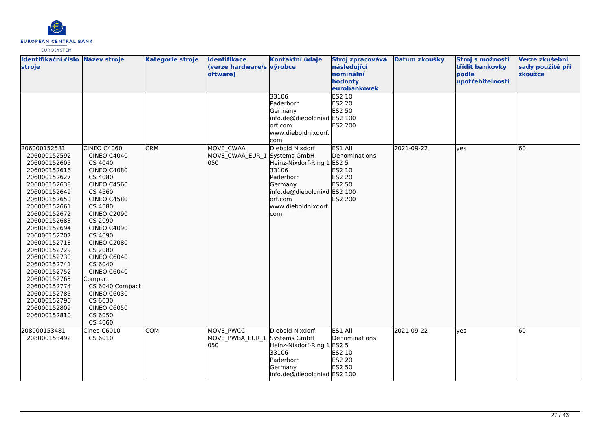

| Identifikační číslo Název stroje<br>stroje                                                                                                                                                                                                                                                                                                                                                   |                                                                                                                                                                                                                                                                                                                                                                                                                      | <b>Kategorie stroje</b> | <b>Identifikace</b><br>(verze hardware/s výrobce<br>oftware) | Kontaktní údaje                                                                                                                                        | Stroj zpracovává<br>následující<br>nominální<br>hodnoty<br>eurobankovek  | Datum zkoušky | Stroj s možností<br>třídit bankovky<br>podle<br>upotřebitelnosti | Verze zkušební<br>sady použité při<br>zkoužce |
|----------------------------------------------------------------------------------------------------------------------------------------------------------------------------------------------------------------------------------------------------------------------------------------------------------------------------------------------------------------------------------------------|----------------------------------------------------------------------------------------------------------------------------------------------------------------------------------------------------------------------------------------------------------------------------------------------------------------------------------------------------------------------------------------------------------------------|-------------------------|--------------------------------------------------------------|--------------------------------------------------------------------------------------------------------------------------------------------------------|--------------------------------------------------------------------------|---------------|------------------------------------------------------------------|-----------------------------------------------|
|                                                                                                                                                                                                                                                                                                                                                                                              |                                                                                                                                                                                                                                                                                                                                                                                                                      |                         |                                                              | 33106<br>Paderborn<br>Germany<br>info.de@dieboldnixd ES2 100<br>orf.com<br>www.dieboldnixdorf.<br><b>com</b>                                           | <b>ES2 10</b><br>ES2 20<br>ES2 50<br>ES2 200                             |               |                                                                  |                                               |
| 206000152581<br>206000152592<br>206000152605<br>206000152616<br>206000152627<br>206000152638<br>206000152649<br>206000152650<br>206000152661<br>206000152672<br>206000152683<br>206000152694<br>206000152707<br>206000152718<br>206000152729<br>206000152730<br>206000152741<br>206000152752<br>206000152763<br>206000152774<br>206000152785<br>206000152796<br>206000152809<br>206000152810 | <b>CINEO C4060</b><br><b>CINEO C4040</b><br>CS 4040<br><b>CINEO C4080</b><br>CS 4080<br><b>CINEO C4560</b><br>CS 4560<br><b>CINEO C4580</b><br>CS 4580<br><b>CINEO C2090</b><br>CS 2090<br><b>CINEO C4090</b><br>CS 4090<br><b>CINEO C2080</b><br>CS 2080<br><b>CINEO C6040</b><br>CS 6040<br>CINEO C6040<br>Compact<br>CS 6040 Compact<br><b>CINEO C6030</b><br>CS 6030<br><b>CINEO C6050</b><br>CS 6050<br>CS 4060 | <b>CRM</b>              | MOVE CWAA<br>MOVE_CWAA_EUR_1 Systems GmbH<br>050             | Diebold Nixdorf<br>Heinz-Nixdorf-Ring 1 ES2 5<br>33106<br>Paderborn<br>Germany<br>info.de@dieboldnixd ES2 100<br>orf.com<br>www.dieboldnixdorf.<br>com | ES1 All<br>Denominations<br>ES2 10<br>ES2 20<br>ES2 50<br><b>ES2 200</b> | 2021-09-22    | ves                                                              | 60                                            |
| 208000153481<br>208000153492                                                                                                                                                                                                                                                                                                                                                                 | Cineo C6010<br>CS 6010                                                                                                                                                                                                                                                                                                                                                                                               | <b>COM</b>              | MOVE PWCC<br>MOVE_PWBA_EUR_1 Systems GmbH<br>050             | Diebold Nixdorf<br>Heinz-Nixdorf-Ring 1<br>33106<br>Paderborn<br>Germany<br>info.de@dieboldnixd ES2 100                                                | ES1 All<br>Denominations<br><b>ES2 5</b><br>ES2 10<br>ES2 20<br>ES2 50   | 2021-09-22    | ves                                                              | 60                                            |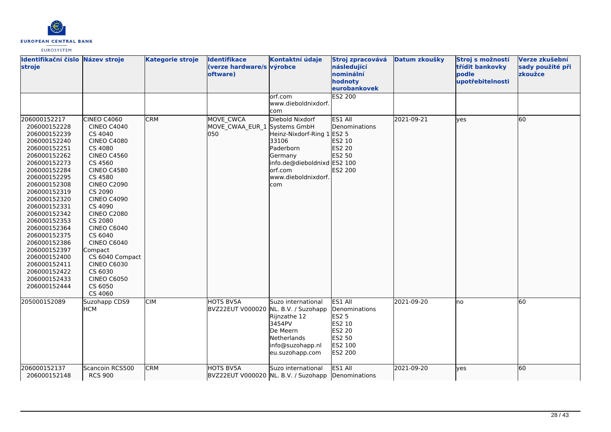

| Identifikační číslo Název stroje<br>stroje                                                                                                                                                                                                                                                                                                                                                   |                                                                                                                                                                                                                                                                                                                                                                                                        | <b>Kategorie stroje</b> | <b>Identifikace</b><br>(verze hardware/s výrobce<br>oftware) | Kontaktní údaje                                                                                                                                  | Stroj zpracovává<br>následující<br>nominální<br>hodnoty<br>eurobankovek                             | Datum zkoušky | Stroj s možností<br>třídit bankovky<br>podle<br>upotřebitelnosti | Verze zkušební<br>sady použité při<br>zkoužce |
|----------------------------------------------------------------------------------------------------------------------------------------------------------------------------------------------------------------------------------------------------------------------------------------------------------------------------------------------------------------------------------------------|--------------------------------------------------------------------------------------------------------------------------------------------------------------------------------------------------------------------------------------------------------------------------------------------------------------------------------------------------------------------------------------------------------|-------------------------|--------------------------------------------------------------|--------------------------------------------------------------------------------------------------------------------------------------------------|-----------------------------------------------------------------------------------------------------|---------------|------------------------------------------------------------------|-----------------------------------------------|
|                                                                                                                                                                                                                                                                                                                                                                                              |                                                                                                                                                                                                                                                                                                                                                                                                        |                         |                                                              | lorf.com<br>www.dieboldnixdorf.<br>com                                                                                                           | <b>ES2 200</b>                                                                                      |               |                                                                  |                                               |
| 206000152217<br>206000152228<br>206000152239<br>206000152240<br>206000152251<br>206000152262<br>206000152273<br>206000152284<br>206000152295<br>206000152308<br>206000152319<br>206000152320<br>206000152331<br>206000152342<br>206000152353<br>206000152364<br>206000152375<br>206000152386<br>206000152397<br>206000152400<br>206000152411<br>206000152422<br>206000152433<br>206000152444 | CINEO C4060<br><b>CINEO C4040</b><br>CS 4040<br><b>CINEO C4080</b><br>CS 4080<br><b>CINEO C4560</b><br>CS 4560<br><b>CINEO C4580</b><br>CS 4580<br><b>CINEO C2090</b><br>CS 2090<br><b>CINEO C4090</b><br>CS 4090<br><b>CINEO C2080</b><br>CS 2080<br>CINEO C6040<br>CS 6040<br>CINEO C6040<br>Compact<br>CS 6040 Compact<br><b>CINEO C6030</b><br>CS 6030<br><b>CINEO C6050</b><br>CS 6050<br>CS 4060 | <b>CRM</b>              | MOVE CWCA<br>MOVE CWAA EUR 1 Systems GmbH<br>lo50            | Diebold Nixdorf<br>Heinz-Nixdorf-Ring 1<br>33106<br>Paderborn<br>Germany<br>info.de@dieboldnixd ES2 100<br>orf.com<br>www.dieboldnixdorf.<br>com | ES1 All<br>Denominations<br>ES2 5<br>ES2 10<br><b>ES2 20</b><br>ES2 50<br>ES2 200                   | 2021-09-21    | ves                                                              | 60                                            |
| 205000152089                                                                                                                                                                                                                                                                                                                                                                                 | Suzohapp CDS9<br><b>HCM</b>                                                                                                                                                                                                                                                                                                                                                                            | CIM                     | <b>HOTS BV5A</b><br>BVZ22EUT V000020 NL. B.V. / Suzohapp     | Suzo international<br>Rijnzathe 12<br>3454PV<br>De Meern<br>Netherlands<br>info@suzohapp.nl<br>eu.suzohapp.com                                   | ES1 All<br>Denominations<br>ES2 5<br>ES2 10<br><b>ES2 20</b><br>ES2 50<br>ES2 100<br><b>ES2 200</b> | 2021-09-20    | no                                                               | 60                                            |
| 206000152137<br>206000152148                                                                                                                                                                                                                                                                                                                                                                 | Scancoin RCS500<br><b>RCS 900</b>                                                                                                                                                                                                                                                                                                                                                                      | <b>CRM</b>              | HOTS BV5A<br>BVZ22EUT V000020 NL. B.V. / Suzohapp            | Suzo international                                                                                                                               | ES1 All<br>Denominations                                                                            | 2021-09-20    | lves                                                             | 60                                            |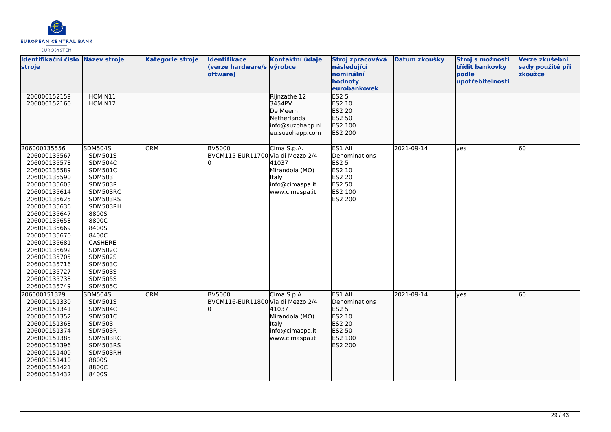

| Identifikační číslo Název stroje<br>stroje                                                                                                                                                                                                                                                                                   |                                                                                                                                                                                                                                                                            | <b>Kategorie stroje</b> | <b>Identifikace</b><br>(verze hardware/s výrobce<br>oftware) | Kontaktní údaje                                                                          | Stroj zpracovává<br>následující<br>nominální<br>hodnoty<br>eurobankovek                      | Datum zkoušky | Stroj s možností<br>třídit bankovky<br>podle<br>upotřebitelnosti | Verze zkušební<br>sady použité při<br>zkoužce |
|------------------------------------------------------------------------------------------------------------------------------------------------------------------------------------------------------------------------------------------------------------------------------------------------------------------------------|----------------------------------------------------------------------------------------------------------------------------------------------------------------------------------------------------------------------------------------------------------------------------|-------------------------|--------------------------------------------------------------|------------------------------------------------------------------------------------------|----------------------------------------------------------------------------------------------|---------------|------------------------------------------------------------------|-----------------------------------------------|
| 206000152159<br>206000152160                                                                                                                                                                                                                                                                                                 | HCM N11<br>HCM N12                                                                                                                                                                                                                                                         |                         |                                                              | Rijnzathe 12<br>3454PV<br>De Meern<br>Netherlands<br>info@suzohapp.nl<br>eu.suzohapp.com | ES2 <sub>5</sub><br>ES2 10<br>ES2 20<br>ES2 50<br>ES2 100<br>ES2 200                         |               |                                                                  |                                               |
| 206000135556<br>206000135567<br>206000135578<br>206000135589<br>206000135590<br>206000135603<br>206000135614<br>206000135625<br>206000135636<br>206000135647<br>206000135658<br>206000135669<br>206000135670<br>206000135681<br>206000135692<br>206000135705<br>206000135716<br>206000135727<br>206000135738<br>206000135749 | <b>SDM504S</b><br>SDM501S<br><b>SDM504C</b><br><b>SDM501C</b><br>SDM503<br>SDM503R<br>SDM503RC<br>SDM503RS<br>SDM503RH<br>8800S<br>8800C<br>8400S<br>8400C<br>CASHERE<br><b>SDM502C</b><br><b>SDM502S</b><br><b>SDM503C</b><br>SDM503S<br><b>SDM505S</b><br><b>SDM505C</b> | <b>CRM</b>              | <b>BV5000</b><br>BVCM115-EUR11700 Via di Mezzo 2/4           | Cima S.p.A.<br>41037<br>Mirandola (MO)<br>Italy<br>info@cimaspa.it<br>www.cimaspa.it     | ES1 All<br>Denominations<br><b>ES2 5</b><br>ES2 10<br>ES2 20<br>ES2 50<br>ES2 100<br>ES2 200 | 2021-09-14    | yes                                                              | 60                                            |
| 206000151329<br>206000151330<br>206000151341<br>206000151352<br>206000151363<br>206000151374<br>206000151385<br>206000151396<br>206000151409<br>206000151410<br>206000151421<br>206000151432                                                                                                                                 | <b>SDM504S</b><br><b>SDM501S</b><br><b>SDM504C</b><br><b>SDM501C</b><br><b>SDM503</b><br>SDM503R<br>SDM503RC<br>SDM503RS<br>SDM503RH<br>8800S<br>8800C<br>8400S                                                                                                            | <b>CRM</b>              | <b>BV5000</b><br>BVCM116-EUR11800 Via di Mezzo 2/4           | Cima S.p.A.<br>41037<br>Mirandola (MO)<br>Italy<br>info@cimaspa.it<br>www.cimaspa.it     | ES1 All<br>Denominations<br><b>ES2 5</b><br>ES2 10<br>ES2 20<br>ES2 50<br>ES2 100<br>ES2 200 | 2021-09-14    | lyes                                                             | 60                                            |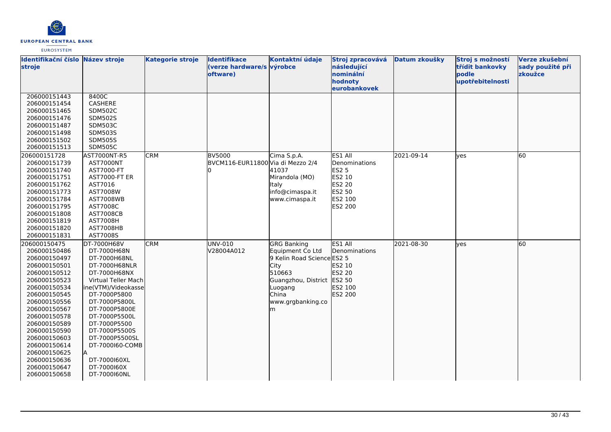

| Identifikační číslo Název stroje |                     | <b>Kategorie stroje</b> | <b>Identifikace</b><br>(verze hardware/s výrobce | Kontaktní údaje            | Stroj zpracovává<br>následující      | Datum zkoušky | Stroj s možností<br>třídit bankovky | Verze zkušební<br>sady použité při |
|----------------------------------|---------------------|-------------------------|--------------------------------------------------|----------------------------|--------------------------------------|---------------|-------------------------------------|------------------------------------|
| stroje                           |                     |                         | oftware)                                         |                            | nominální<br>hodnoty<br>eurobankovek |               | podle<br>upotřebitelnosti           | zkoužce                            |
| 206000151443                     | 8400C               |                         |                                                  |                            |                                      |               |                                     |                                    |
| 206000151454                     | CASHERE             |                         |                                                  |                            |                                      |               |                                     |                                    |
| 206000151465                     | <b>SDM502C</b>      |                         |                                                  |                            |                                      |               |                                     |                                    |
| 206000151476                     | SDM502S             |                         |                                                  |                            |                                      |               |                                     |                                    |
| 206000151487                     | <b>SDM503C</b>      |                         |                                                  |                            |                                      |               |                                     |                                    |
| 206000151498                     | <b>SDM503S</b>      |                         |                                                  |                            |                                      |               |                                     |                                    |
| 206000151502                     | <b>SDM505S</b>      |                         |                                                  |                            |                                      |               |                                     |                                    |
| 206000151513                     | <b>SDM505C</b>      |                         |                                                  |                            |                                      |               |                                     |                                    |
| 206000151728                     | AST7000NT-R5        | <b>CRM</b>              | <b>BV5000</b>                                    | Cima S.p.A.                | ES1 All                              | 2021-09-14    | ves                                 | 60                                 |
| 206000151739                     | AST7000NT           |                         | BVCM116-EUR11800 Via di Mezzo 2/4                |                            | Denominations                        |               |                                     |                                    |
| 206000151740                     | AST7000-FT          |                         |                                                  | 41037                      | <b>ES2 5</b>                         |               |                                     |                                    |
| 206000151751                     | AST7000-FT ER       |                         |                                                  | Mirandola (MO)             | ES2 10                               |               |                                     |                                    |
| 206000151762                     | AST7016             |                         |                                                  | Italy                      | ES2 20                               |               |                                     |                                    |
| 206000151773                     | AST7008W            |                         |                                                  | info@cimaspa.it            | ES2 50                               |               |                                     |                                    |
| 206000151784                     | AST7008WB           |                         |                                                  | www.cimaspa.it             | ES2 100                              |               |                                     |                                    |
| 206000151795                     | AST7008C            |                         |                                                  |                            | ES2 200                              |               |                                     |                                    |
| 206000151808                     | <b>AST7008CB</b>    |                         |                                                  |                            |                                      |               |                                     |                                    |
| 206000151819                     | <b>AST7008H</b>     |                         |                                                  |                            |                                      |               |                                     |                                    |
| 206000151820                     | AST7008HB           |                         |                                                  |                            |                                      |               |                                     |                                    |
| 206000151831                     | AST7008S            |                         |                                                  |                            |                                      |               |                                     |                                    |
| 206000150475                     | DT-7000H68V         | <b>CRM</b>              | UNV-010                                          | <b>GRG Banking</b>         | ES1 All                              | 2021-08-30    | lves                                | 60                                 |
| 206000150486                     | DT-7000H68N         |                         | V28004A012                                       | Equipment Co Ltd           | Denominations                        |               |                                     |                                    |
| 206000150497                     | DT-7000H68NL        |                         |                                                  | 9 Kelin Road Science ES2 5 |                                      |               |                                     |                                    |
| 206000150501                     | DT-7000H68NLR       |                         |                                                  | City                       | ES2 10                               |               |                                     |                                    |
| 206000150512                     | DT-7000H68NX        |                         |                                                  | 510663                     | ES2 20                               |               |                                     |                                    |
| 206000150523                     | Virtual Teller Mach |                         |                                                  | Guangzhou, District ES2 50 |                                      |               |                                     |                                    |
| 206000150534                     | ine(VTM)/Videokasse |                         |                                                  | Luogang                    | ES2 100                              |               |                                     |                                    |
| 206000150545                     | DT-7000P5800        |                         |                                                  | China                      | ES2 200                              |               |                                     |                                    |
| 206000150556                     | DT-7000P5800L       |                         |                                                  | www.grgbanking.co          |                                      |               |                                     |                                    |
| 206000150567                     | DT-7000P5800E       |                         |                                                  | m                          |                                      |               |                                     |                                    |
| 206000150578                     | DT-7000P5500L       |                         |                                                  |                            |                                      |               |                                     |                                    |
| 206000150589                     | DT-7000P5500        |                         |                                                  |                            |                                      |               |                                     |                                    |
| 206000150590                     | DT-7000P5500S       |                         |                                                  |                            |                                      |               |                                     |                                    |
| 206000150603                     | DT-7000P5500SL      |                         |                                                  |                            |                                      |               |                                     |                                    |
| 206000150614                     | DT-7000160-COMB     |                         |                                                  |                            |                                      |               |                                     |                                    |
| 206000150625                     |                     |                         |                                                  |                            |                                      |               |                                     |                                    |
| 206000150636                     | DT-7000160XL        |                         |                                                  |                            |                                      |               |                                     |                                    |
| 206000150647                     | DT-7000160X         |                         |                                                  |                            |                                      |               |                                     |                                    |
| 206000150658                     | DT-7000160NL        |                         |                                                  |                            |                                      |               |                                     |                                    |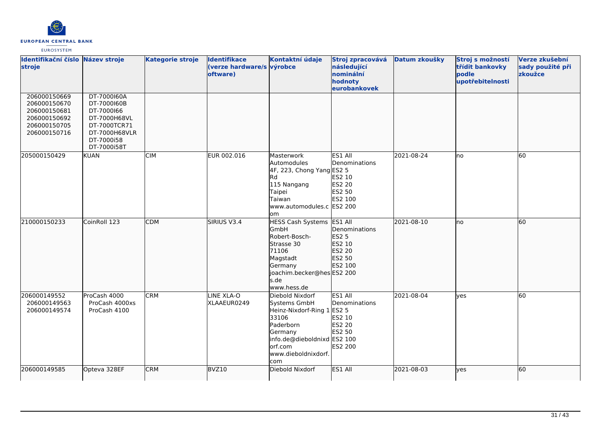

| Identifikační číslo Název stroje<br>stroje                                                   |                                                                                                                        | <b>Kategorie stroje</b> | <b>Identifikace</b><br>(verze hardware/s výrobce<br>oftware) | Kontaktní údaje                                                                                                                                                   | Stroj zpracovává<br>následující<br>nominální<br>hodnoty<br>eurobankovek           | Datum zkoušky | Stroj s možností<br>třídit bankovky<br>podle<br>upotřebitelnosti | Verze zkušební<br>sady použité při<br>zkoužce |
|----------------------------------------------------------------------------------------------|------------------------------------------------------------------------------------------------------------------------|-------------------------|--------------------------------------------------------------|-------------------------------------------------------------------------------------------------------------------------------------------------------------------|-----------------------------------------------------------------------------------|---------------|------------------------------------------------------------------|-----------------------------------------------|
| 206000150669<br>206000150670<br>206000150681<br>206000150692<br>206000150705<br>206000150716 | DT-7000160A<br>DT-7000160B<br>DT-7000166<br>DT-7000H68VL<br>DT-7000TCR71<br>DT-7000H68VLR<br>DT-7000i58<br>DT-7000i58T |                         |                                                              |                                                                                                                                                                   |                                                                                   |               |                                                                  |                                               |
| 205000150429                                                                                 | <b>KUAN</b>                                                                                                            | <b>CIM</b>              | EUR 002.016                                                  | Masterwork<br>Automodules<br>4F, 223, Chong Yang ES2 5<br>Rd.<br>115 Nangang<br>Taipei<br>Taiwan<br>www.automodules.c ES2 200<br>om                               | ES1 All<br>Denominations<br>ES2 10<br>ES2 20<br>ES2 50<br>ES2 100                 | 2021-08-24    | Ino                                                              | 60                                            |
| 210000150233                                                                                 | CoinRoll 123                                                                                                           | <b>CDM</b>              | SIRIUS V3.4                                                  | HESS Cash Systems ES1 All<br>GmbH<br>Robert-Bosch-<br>Strasse 30<br>71106<br>Magstadt<br>Germany<br>joachim.becker@hesES2 200<br>s.de<br>www.hess.de              | Denominations<br>ES2 5<br>ES2 10<br>ES2 20<br>ES2 50<br>ES2 100                   | 2021-08-10    | lno                                                              | 60                                            |
| 206000149552<br>206000149563<br>206000149574                                                 | ProCash 4000<br>ProCash 4000xs<br>ProCash 4100                                                                         | <b>CRM</b>              | LINE XLA-O<br>XLAAEUR0249                                    | Diebold Nixdorf<br>Systems GmbH<br>Heinz-Nixdorf-Ring 1<br>33106<br>Paderborn<br>Germany<br>info.de@dieboldnixd ES2 100<br>lorf.com<br>www.dieboldnixdorf.<br>com | ES1 All<br>Denominations<br><b>ES2 5</b><br>ES2 10<br>ES2 20<br>ES2 50<br>ES2 200 | 2021-08-04    | ves                                                              | 60                                            |
| 206000149585                                                                                 | Opteva 328EF                                                                                                           | <b>CRM</b>              | BVZ10                                                        | Diebold Nixdorf                                                                                                                                                   | ES1 All                                                                           | 2021-08-03    | ves                                                              | 60                                            |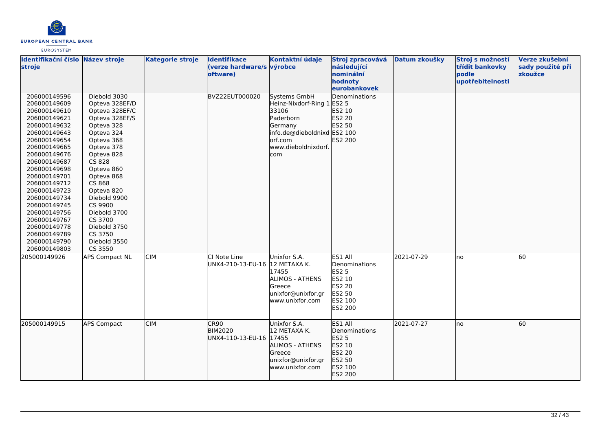

| Identifikační číslo Název stroje<br>stroje                                                                                                                                                                                                                                                                                                                   |                                                                                                                                                                                                                                                                                                                    | <b>Kategorie stroje</b> | <b>Identifikace</b><br>(verze hardware/s výrobce<br>oftware) | Kontaktní údaje                                                                                                                                            | Stroj zpracovává<br>následující<br>nominální<br>hodnoty<br>eurobankovek                             | Datum zkoušky | Stroj s možností<br>třídit bankovky<br>podle<br>upotřebitelnosti | Verze zkušební<br>sady použité při<br>zkoužce |
|--------------------------------------------------------------------------------------------------------------------------------------------------------------------------------------------------------------------------------------------------------------------------------------------------------------------------------------------------------------|--------------------------------------------------------------------------------------------------------------------------------------------------------------------------------------------------------------------------------------------------------------------------------------------------------------------|-------------------------|--------------------------------------------------------------|------------------------------------------------------------------------------------------------------------------------------------------------------------|-----------------------------------------------------------------------------------------------------|---------------|------------------------------------------------------------------|-----------------------------------------------|
| 206000149596<br>206000149609<br>206000149610<br>206000149621<br>206000149632<br>206000149643<br>206000149654<br>206000149665<br>206000149676<br>206000149687<br>206000149698<br>206000149701<br>206000149712<br>206000149723<br>206000149734<br>206000149745<br>206000149756<br>206000149767<br>206000149778<br>206000149789<br>206000149790<br>206000149803 | Diebold 3030<br>Opteva 328EF/D<br>Opteva 328EF/C<br>Opteva 328EF/S<br>Opteva 328<br>Opteva 324<br>Opteva 368<br>Opteva 378<br>Opteva 828<br>CS 828<br>Opteva 860<br>Opteva 868<br>CS 868<br>Opteva 820<br>Diebold 9900<br>CS 9900<br>Diebold 3700<br>CS 3700<br>Diebold 3750<br>CS 3750<br>Diebold 3550<br>CS 3550 |                         | BVZ22EUT000020                                               | <b>Systems GmbH</b><br>Heinz-Nixdorf-Ring 1 ES2 5<br>33106<br>Paderborn<br>Germany<br>info.de@dieboldnixd ES2 100<br>orf.com<br>www.dieboldnixdorf.<br>com | Denominations<br>ES2 10<br><b>ES2 20</b><br>ES2 50<br>ES2 200                                       |               |                                                                  |                                               |
| 205000149926                                                                                                                                                                                                                                                                                                                                                 | <b>APS Compact NL</b>                                                                                                                                                                                                                                                                                              | <b>CIM</b>              | CI Note Line<br>UNX4-210-13-EU-16                            | Unixfor S.A.<br>12 METAXA K.<br>17455<br><b>ALIMOS - ATHENS</b><br>Greece<br>unixfor@unixfor.gr<br>www.unixfor.com                                         | ES1 All<br>Denominations<br><b>ES2 5</b><br>ES2 10<br><b>ES2 20</b><br>ES2 50<br>ES2 100<br>ES2 200 | 2021-07-29    | Ino                                                              | 60                                            |
| 205000149915                                                                                                                                                                                                                                                                                                                                                 | <b>APS Compact</b>                                                                                                                                                                                                                                                                                                 | <b>CIM</b>              | CR90<br><b>BIM2020</b><br>UNX4-110-13-EU-16                  | Unixfor S.A.<br>12 METAXA K.<br>17455<br><b>ALIMOS - ATHENS</b><br>Greece<br>unixfor@unixfor.gr<br>www.unixfor.com                                         | ES1 All<br>Denominations<br>ES2 5<br>ES2 10<br>ES2 20<br>ES2 50<br>ES2 100<br>ES2 200               | 2021-07-27    | lno                                                              | 60                                            |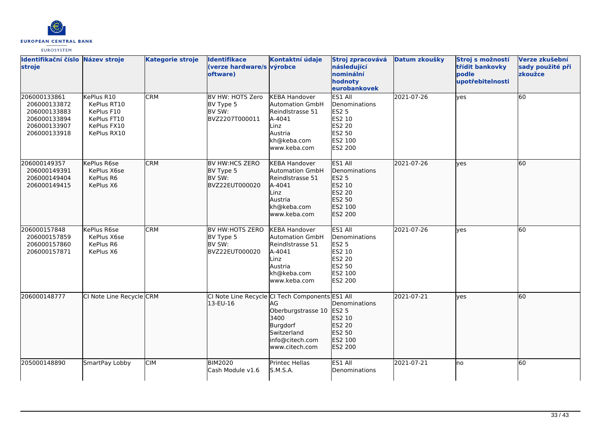

| Identifikační číslo Název stroje<br>stroje                                                   |                                                                                      | <b>Kategorie stroje</b> | <b>Identifikace</b><br>(verze hardware/s výrobce<br>oftware) | Kontaktní údaje                                                                                                                                     | Stroj zpracovává<br>následující<br>nominální<br>hodnoty<br>eurobankovek                             | Datum zkoušky | Stroj s možností<br>třídit bankovky<br>podle<br>upotřebitelnosti | Verze zkušební<br>sady použité při<br>zkoužce |
|----------------------------------------------------------------------------------------------|--------------------------------------------------------------------------------------|-------------------------|--------------------------------------------------------------|-----------------------------------------------------------------------------------------------------------------------------------------------------|-----------------------------------------------------------------------------------------------------|---------------|------------------------------------------------------------------|-----------------------------------------------|
| 206000133861<br>206000133872<br>206000133883<br>206000133894<br>206000133907<br>206000133918 | KePlus R10<br>KePlus RT10<br>KePlus F10<br>KePlus FT10<br>KePlus FX10<br>KePlus RX10 | <b>CRM</b>              | BV HW: HOTS Zero<br>BV Type 5<br>BV SW:<br>BVZ2207T000011    | <b>KEBA Handover</b><br><b>Automation GmbH</b><br>Reindlstrasse 51<br>A-4041<br>Linz<br>Austria<br>kh@keba.com<br>www.keba.com                      | ES1 All<br>Denominations<br><b>ES2 5</b><br>ES2 10<br><b>ES2 20</b><br>ES2 50<br>ES2 100<br>ES2 200 | 2021-07-26    | yes                                                              | 60                                            |
| 206000149357<br>206000149391<br>206000149404<br>206000149415                                 | KePlus R6se<br>KePlus X6se<br>KePlus R6<br>KePlus X6                                 | <b>CRM</b>              | BV HW:HCS ZERO<br>BV Type 5<br>BV SW:<br>BVZ22EUT000020      | <b>KEBA Handover</b><br><b>Automation GmbH</b><br>Reindlstrasse 51<br>A-4041<br>Linz<br>Austria<br>kh@keba.com<br>www.keba.com                      | <b>ES1 All</b><br>Denominations<br>ES2 5<br>ES2 10<br>ES2 20<br>ES2 50<br>ES2 100<br>ES2 200        | 2021-07-26    | lyes                                                             | 60                                            |
| 206000157848<br>206000157859<br>206000157860<br>206000157871                                 | KePlus R6se<br>KePlus X6se<br>KePlus R6<br>KePlus X6                                 | <b>CRM</b>              | BV HW:HOTS ZERO<br>BV Type 5<br>BV SW:<br>BVZ22EUT000020     | <b>KEBA Handover</b><br><b>Automation GmbH</b><br>Reindlstrasse 51<br>A-4041<br>Linz<br>Austria<br>kh@keba.com<br>www.keba.com                      | ES1 All<br>Denominations<br><b>ES2 5</b><br>ES2 10<br><b>ES2 20</b><br>ES2 50<br>ES2 100<br>ES2 200 | 2021-07-26    | lyes                                                             | 60                                            |
| 206000148777                                                                                 | CI Note Line Recycle CRM                                                             |                         | 13-EU-16                                                     | CI Note Line Recycle CI Tech Components ES1 All<br>AG<br>Oberburgstrasse 10<br>3400<br>Burgdorf<br>Switzerland<br>info@citech.com<br>www.citech.com | <b>Denominations</b><br><b>ES2 5</b><br>ES2 10<br>ES2 20<br>ES2 50<br>ES2 100<br>ES2 200            | 2021-07-21    | lves                                                             | 60                                            |
| 205000148890                                                                                 | SmartPay Lobby                                                                       | <b>CIM</b>              | <b>BIM2020</b><br>Cash Module v1.6                           | <b>Printec Hellas</b><br>S.M.S.A.                                                                                                                   | ES1 All<br>Denominations                                                                            | 2021-07-21    | lno                                                              | 60                                            |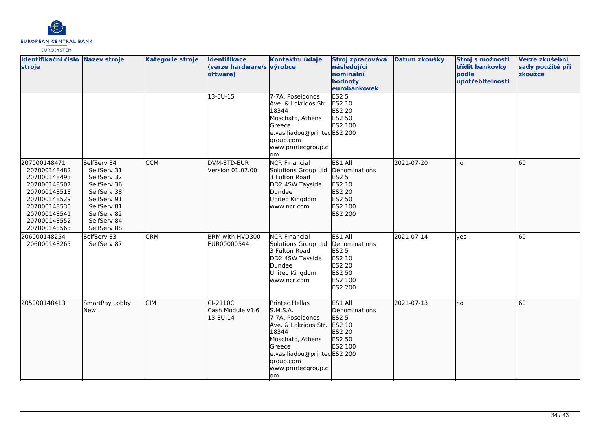

| Identifikační číslo Název stroje<br>stroje                                                                                                                   |                                                                                                                                                    | <b>Kategorie stroje</b> | Identifikace<br>(verze hardware/s výrobce<br>oftware) | Kontaktní údaje                                                                                                                                                                       | Stroj zpracovává<br>následující<br>nominální<br>hodnoty<br>eurobankovek                      | Datum zkoušky | Stroj s možností<br>třídit bankovky<br>podle<br>upotřebitelnosti | Verze zkušební<br>sady použité při<br>zkoužce |
|--------------------------------------------------------------------------------------------------------------------------------------------------------------|----------------------------------------------------------------------------------------------------------------------------------------------------|-------------------------|-------------------------------------------------------|---------------------------------------------------------------------------------------------------------------------------------------------------------------------------------------|----------------------------------------------------------------------------------------------|---------------|------------------------------------------------------------------|-----------------------------------------------|
|                                                                                                                                                              |                                                                                                                                                    |                         | $13-EU-15$                                            | 7-7A, Poseidonos<br>Ave. & Lokridos Str.<br>18344<br>Moschato, Athens<br>Greece<br>e.vasiliadou@printecES2 200<br>group.com<br>www.printecgroup.c<br>lom                              | ES2 <sub>5</sub><br>ES2 10<br>ES2 20<br>ES2 50<br>ES2 100                                    |               |                                                                  |                                               |
| 207000148471<br>207000148482<br>207000148493<br>207000148507<br>207000148518<br>207000148529<br>207000148530<br>207000148541<br>207000148552<br>207000148563 | SelfServ 34<br>SelfServ 31<br>SelfServ 32<br>SelfServ 36<br>SelfServ 38<br>SelfServ 91<br>SelfServ 81<br>SelfServ 82<br>SelfServ 84<br>SelfServ 88 | <b>CCM</b>              | DVM-STD-EUR<br>Version 01.07.00                       | <b>NCR Financial</b><br>Solutions Group Ltd<br>3 Fulton Road<br>DD2 4SW Tayside<br>Dundee<br>United Kingdom<br>www.ncr.com                                                            | ES1 All<br>Denominations<br><b>ES2 5</b><br>ES2 10<br>ES2 20<br>ES2 50<br>ES2 100<br>ES2 200 | 2021-07-20    | lno                                                              | 60                                            |
| 206000148254<br>206000148265                                                                                                                                 | SelfServ 83<br>SelfServ 87                                                                                                                         | <b>CRM</b>              | BRM with HVD300<br>EUR00000544                        | <b>NCR Financial</b><br>Solutions Group Ltd<br>3 Fulton Road<br>DD2 4SW Tayside<br>Dundee<br>United Kingdom<br>www.ncr.com                                                            | ES1 All<br>Denominations<br>ES2 5<br>ES2 10<br><b>ES2 20</b><br>ES2 50<br>ES2 100<br>ES2 200 | 2021-07-14    | ves                                                              | 60                                            |
| 205000148413                                                                                                                                                 | SmartPay Lobby<br><b>New</b>                                                                                                                       | <b>CIM</b>              | $CI-2110C$<br>Cash Module v1.6<br>13-EU-14            | Printec Hellas<br>S.M.S.A.<br>7-7A, Poseidonos<br>Ave. & Lokridos Str.<br>18344<br>Moschato, Athens<br>Greece<br>e.vasiliadou@printecES2 200<br>group.com<br>www.printecgroup.c<br>om | ES1 All<br>Denominations<br><b>ES2 5</b><br>ES2 10<br>ES2 20<br>ES2 50<br>ES2 100            | 2021-07-13    | lno                                                              | 60                                            |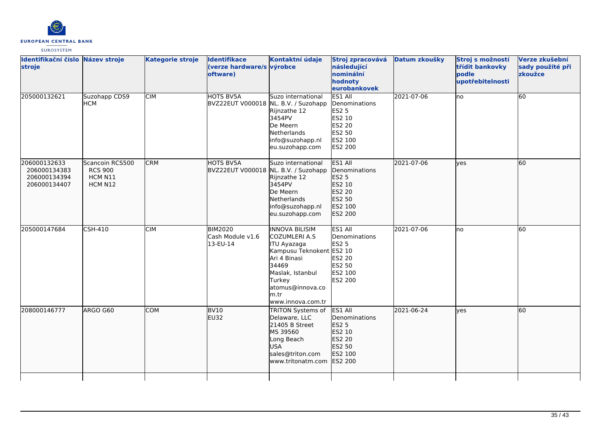

| Identifikační číslo Název stroje<br>stroje                   |                                                         | <b>Kategorie stroje</b> | <b>Identifikace</b><br>(verze hardware/s výrobce<br>oftware) | Kontaktní údaje                                                                                                                                                                                  | Stroj zpracovává<br>následující<br>nominální<br>hodnoty<br>eurobankovek                      | Datum zkoušky | Stroj s možností<br>třídit bankovky<br>podle<br>upotřebitelnosti | Verze zkušební<br>sady použité při<br>zkoužce |
|--------------------------------------------------------------|---------------------------------------------------------|-------------------------|--------------------------------------------------------------|--------------------------------------------------------------------------------------------------------------------------------------------------------------------------------------------------|----------------------------------------------------------------------------------------------|---------------|------------------------------------------------------------------|-----------------------------------------------|
| 205000132621                                                 | Suzohapp CDS9<br><b>HCM</b>                             | <b>CIM</b>              | <b>HOTS BV5A</b><br>BVZ22EUT V000018 NL. B.V. / Suzohapp     | Suzo international<br>Rijnzathe 12<br>3454PV<br>De Meern<br>Netherlands<br>info@suzohapp.nl<br>eu.suzohapp.com                                                                                   | ES1 All<br>Denominations<br><b>ES2 5</b><br>ES2 10<br>ES2 20<br>ES2 50<br>ES2 100<br>ES2 200 | 2021-07-06    | lno                                                              | 60                                            |
| 206000132633<br>206000134383<br>206000134394<br>206000134407 | Scancoin RCS500<br><b>RCS 900</b><br>HCM N11<br>HCM N12 | <b>CRM</b>              | <b>HOTS BV5A</b><br>BVZ22EUT V000018 NL. B.V. / Suzohapp     | Suzo international<br>Rijnzathe 12<br>3454PV<br>De Meern<br>Netherlands<br>info@suzohapp.nl<br>eu.suzohapp.com                                                                                   | ES1 All<br>Denominations<br>ES2 5<br>ES2 10<br>ES2 20<br>ES2 50<br>ES2 100<br>ES2 200        | 2021-07-06    | lyes                                                             | 60                                            |
| 205000147684                                                 | <b>CSH-410</b>                                          | <b>CIM</b>              | <b>BIM2020</b><br>Cash Module v1.6<br>13-EU-14               | <b>INNOVA BILISIM</b><br>COZUMLERI A.S<br><b>ITU Ayazaga</b><br>Kampusu Teknokent ES2 10<br>Ari 4 Binasi<br>34469<br>Maslak, Istanbul<br>Turkey<br>atomus@innova.co<br>m.tr<br>www.innova.com.tr | ES1 All<br>Denominations<br><b>ES2 5</b><br>ES2 20<br>ES2 50<br>ES2 100<br>ES2 200           | 2021-07-06    | no                                                               | 60                                            |
| 208000146777                                                 | ARGO G60                                                | <b>COM</b>              | BV <sub>10</sub><br><b>EU32</b>                              | TRITON Systems of<br>Delaware, LLC<br>21405 B Street<br>MS 39560<br>Long Beach<br><b>USA</b><br>sales@triton.com<br>www.tritonatm.com                                                            | ES1 All<br>Denominations<br>ES2 5<br>ES2 10<br>ES2 20<br>ES2 50<br>ES2 100<br>ES2 200        | 2021-06-24    | yes                                                              | 60                                            |
|                                                              |                                                         |                         |                                                              |                                                                                                                                                                                                  |                                                                                              |               |                                                                  |                                               |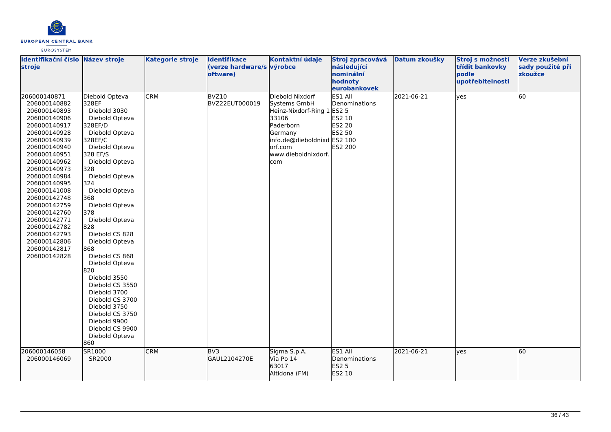

| Identifikační číslo Název stroje<br>stroje                                                                                                                                                                                                                                                                                                                                                   |                                                                                                                                                                                                                                                                                                                                                                                                                                                                                                                                   | <b>Kategorie stroje</b>  | <b>Identifikace</b><br>(verze hardware/s výrobce<br>oftware) | Kontaktní údaje                                                                                                                                                                        | Stroj zpracovává<br>následující<br>nominální<br>hodnoty                      | Datum zkoušky            | Stroj s možností<br>třídit bankovky<br>podle<br>upotřebitelnosti | Verze zkušební<br>sady použité při<br>zkoužce |
|----------------------------------------------------------------------------------------------------------------------------------------------------------------------------------------------------------------------------------------------------------------------------------------------------------------------------------------------------------------------------------------------|-----------------------------------------------------------------------------------------------------------------------------------------------------------------------------------------------------------------------------------------------------------------------------------------------------------------------------------------------------------------------------------------------------------------------------------------------------------------------------------------------------------------------------------|--------------------------|--------------------------------------------------------------|----------------------------------------------------------------------------------------------------------------------------------------------------------------------------------------|------------------------------------------------------------------------------|--------------------------|------------------------------------------------------------------|-----------------------------------------------|
|                                                                                                                                                                                                                                                                                                                                                                                              |                                                                                                                                                                                                                                                                                                                                                                                                                                                                                                                                   |                          |                                                              |                                                                                                                                                                                        | eurobankovek                                                                 |                          |                                                                  |                                               |
| 206000140871<br>206000140882<br>206000140893<br>206000140906<br>206000140917<br>206000140928<br>206000140939<br>206000140940<br>206000140951<br>206000140962<br>206000140973<br>206000140984<br>206000140995<br>206000141008<br>206000142748<br>206000142759<br>206000142760<br>206000142771<br>206000142782<br>206000142793<br>206000142806<br>206000142817<br>206000142828<br>206000146058 | Diebold Opteva<br>328EF<br>Diebold 3030<br>Diebold Opteva<br>328EF/D<br>Diebold Opteva<br>328EF/C<br>Diebold Opteva<br>328 EF/S<br>Diebold Opteva<br>328<br>Diebold Opteva<br>324<br>Diebold Opteva<br>368<br>Diebold Opteva<br>378<br>Diebold Opteva<br>828<br>Diebold CS 828<br>Diebold Opteva<br>868<br>Diebold CS 868<br>Diebold Opteva<br>820<br>Diebold 3550<br>Diebold CS 3550<br>Diebold 3700<br>Diebold CS 3700<br>Diebold 3750<br>Diebold CS 3750<br>Diebold 9900<br>Diebold CS 9900<br>Diebold Opteva<br>860<br>SR1000 | <b>CRM</b><br><b>CRM</b> | BVZ10<br>BVZ22EUT000019<br>BV3                               | Diebold Nixdorf<br>Systems GmbH<br>Heinz-Nixdorf-Ring 1 ES2 5<br>33106<br>Paderborn<br>Germany<br>info.de@dieboldnixd ES2 100<br>orf.com<br>www.dieboldnixdorf.<br>com<br>Sigma S.p.A. | ES1 All<br>Denominations<br>ES2 10<br>ES2 20<br>ES2 50<br>ES2 200<br>ES1 All | 2021-06-21<br>2021-06-21 | yes<br>lyes                                                      | 60<br>60                                      |
| 206000146069                                                                                                                                                                                                                                                                                                                                                                                 | SR2000                                                                                                                                                                                                                                                                                                                                                                                                                                                                                                                            |                          | GAUL2104270E                                                 | Via Po 14<br>63017<br>Altidona (FM)                                                                                                                                                    | Denominations<br>ES2 5<br>ES2 10                                             |                          |                                                                  |                                               |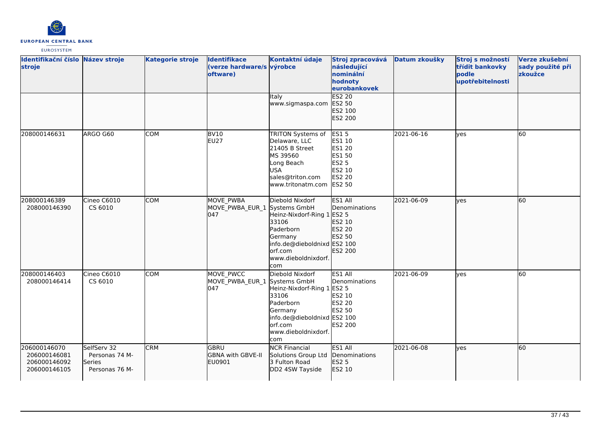

| Identifikační číslo Název stroje<br>stroje                   |                                                           | <b>Kategorie stroje</b> | <b>Identifikace</b><br>(verze hardware/s výrobce<br>oftware) | Kontaktní údaje                                                                                                                                  | Stroj zpracovává<br>následující<br>nominální<br>hodnoty<br>eurobankovek                  | Datum zkoušky | Stroj s možností<br>třídit bankovky<br>podle<br>upotřebitelnosti | Verze zkušební<br>sady použité při<br>zkoužce |
|--------------------------------------------------------------|-----------------------------------------------------------|-------------------------|--------------------------------------------------------------|--------------------------------------------------------------------------------------------------------------------------------------------------|------------------------------------------------------------------------------------------|---------------|------------------------------------------------------------------|-----------------------------------------------|
|                                                              |                                                           |                         |                                                              | Italy<br>www.sigmaspa.com                                                                                                                        | <b>ES2 20</b><br>ES2 50<br>ES2 100<br>ES2 200                                            |               |                                                                  |                                               |
| 208000146631                                                 | ARGO G60                                                  | <b>COM</b>              | <b>BV10</b><br><b>EU27</b>                                   | TRITON Systems of<br>Delaware, LLC<br>21405 B Street<br>MS 39560<br>Long Beach<br><b>USA</b><br>sales@triton.com<br>www.tritonatm.com            | <b>ES15</b><br>ES1 10<br>ES1 20<br>ES1 50<br>ES2 5<br>ES2 10<br>ES2 20<br>ES2 50         | 2021-06-16    | lyes                                                             | 60                                            |
| 208000146389<br>208000146390                                 | Cineo C6010<br>CS 6010                                    | <b>COM</b>              | MOVE_PWBA<br>MOVE PWBA EUR 1 Systems GmbH<br>047             | Diebold Nixdorf<br>Heinz-Nixdorf-Ring 1<br>33106<br>Paderborn<br>Germany<br>info.de@dieboldnixd ES2 100<br>orf.com<br>www.dieboldnixdorf.<br>com | ES1 All<br>Denominations<br><b>ES2 5</b><br>ES2 10<br>ES2 20<br><b>ES2 50</b><br>ES2 200 | 2021-06-09    | lyes                                                             | 60                                            |
| 208000146403<br>208000146414                                 | Cineo C6010<br>CS 6010                                    | <b>COM</b>              | MOVE PWCC<br>MOVE_PWBA_EUR_1 Systems GmbH<br>047             | Diebold Nixdorf<br>Heinz-Nixdorf-Ring 1<br>33106<br>Paderborn<br>Germany<br>info.de@dieboldnixd ES2 100<br>orf.com<br>www.dieboldnixdorf.<br>com | ES1 All<br>Denominations<br>ES2 5<br>ES2 10<br>ES2 20<br>ES2 50<br>ES2 200               | 2021-06-09    | yes                                                              | 60                                            |
| 206000146070<br>206000146081<br>206000146092<br>206000146105 | SelfServ 32<br>Personas 74 M-<br>Series<br>Personas 76 M- | <b>CRM</b>              | GBRU<br><b>GBNA with GBVE-II</b><br>EU0901                   | <b>NCR Financial</b><br>Solutions Group Ltd<br>3 Fulton Road<br>DD2 4SW Tayside                                                                  | ES1 All<br>Denominations<br>ES2 5<br>ES2 10                                              | 2021-06-08    | lyes                                                             | 60                                            |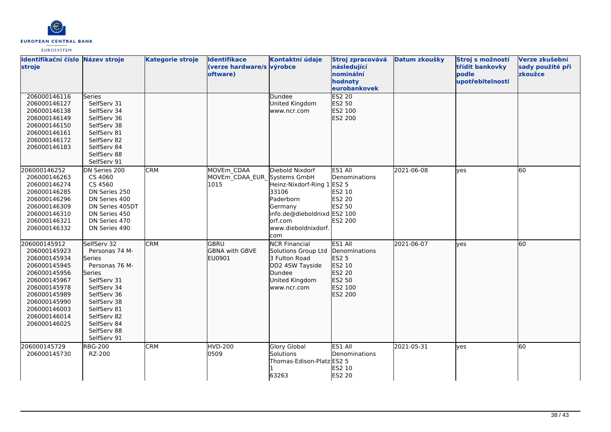

| Identifikační číslo Název stroje<br>stroje                                                                                                                                                   |                                                                                                                                                                                                                   | <b>Kategorie stroje</b> | Identifikace<br>(verze hardware/s výrobce<br>oftware) | Kontaktní údaje                                                                                                                                  | Stroj zpracovává<br>následující<br>nominální<br>hodnoty<br>eurobankovek                      | Datum zkoušky | Stroj s možností<br>třídit bankovky<br>podle<br>upotřebitelnosti | Verze zkušební<br>sady použité při<br>zkoužce |
|----------------------------------------------------------------------------------------------------------------------------------------------------------------------------------------------|-------------------------------------------------------------------------------------------------------------------------------------------------------------------------------------------------------------------|-------------------------|-------------------------------------------------------|--------------------------------------------------------------------------------------------------------------------------------------------------|----------------------------------------------------------------------------------------------|---------------|------------------------------------------------------------------|-----------------------------------------------|
| 206000146116<br>206000146127<br>206000146138<br>206000146149<br>206000146150<br>206000146161<br>206000146172<br>206000146183                                                                 | Series<br>SelfServ 31<br>SelfServ 34<br>SelfServ 36<br>SelfServ 38<br>SelfServ 81<br>SelfServ 82<br>SelfServ 84<br>SelfServ 88<br>SelfServ 91                                                                     |                         |                                                       | Dundee<br>United Kingdom<br>www.ncr.com                                                                                                          | <b>ES2 20</b><br>ES2 50<br>ES2 100<br>ES2 200                                                |               |                                                                  |                                               |
| 206000146252<br>206000146263<br>206000146274<br>206000146285<br>206000146296<br>206000146309<br>206000146310<br>206000146321<br>206000146332                                                 | DN Series 200<br>CS 4060<br>CS 4560<br>DN Series 250<br>DN Series 400<br>DN Series 405DT<br>DN Series 450<br>DN Series 470<br>DN Series 490                                                                       | <b>CRM</b>              | MOVEm CDAA<br>MOVEm CDAA EUR Systems GmbH<br>1015     | Diebold Nixdorf<br>Heinz-Nixdorf-Ring 1<br>33106<br>Paderborn<br>Germany<br>info.de@dieboldnixd ES2 100<br>orf.com<br>www.dieboldnixdorf.<br>com | ES1 All<br>Denominations<br><b>ES2 5</b><br>ES2 10<br><b>ES2 20</b><br>ES2 50<br>ES2 200     | 2021-06-08    | ves                                                              | 60                                            |
| 206000145912<br>206000145923<br>206000145934<br>206000145945<br>206000145956<br>206000145967<br>206000145978<br>206000145989<br>206000145990<br>206000146003<br>206000146014<br>206000146025 | SelfServ 32<br>Personas 74 M-<br>Series<br>Personas 76 M-<br><b>Series</b><br>SelfServ 31<br>SelfServ 34<br>SelfServ 36<br>SelfServ 38<br>SelfServ 81<br>SelfServ 82<br>SelfServ 84<br>SelfServ 88<br>SelfServ 91 | <b>CRM</b>              | <b>GBRU</b><br><b>GBNA</b> with GBVE<br>EU0901        | <b>NCR Financial</b><br>Solutions Group Ltd<br>3 Fulton Road<br>DD2 4SW Tayside<br>Dundee<br>United Kingdom<br>www.ncr.com                       | ES1 All<br>Denominations<br><b>ES2 5</b><br>ES2 10<br>ES2 20<br>ES2 50<br>ES2 100<br>ES2 200 | 2021-06-07    | lves                                                             | 60                                            |
| 206000145729<br>206000145730                                                                                                                                                                 | <b>RBG-200</b><br>RZ-200                                                                                                                                                                                          | <b>CRM</b>              | <b>HVD-200</b><br>0509                                | <b>Glory Global</b><br><b>Solutions</b><br>Thomas-Edison-Platz ES2 5<br>63263                                                                    | ES1 All<br>Denominations<br>ES2 10<br><b>ES2 20</b>                                          | 2021-05-31    | ves                                                              | 60                                            |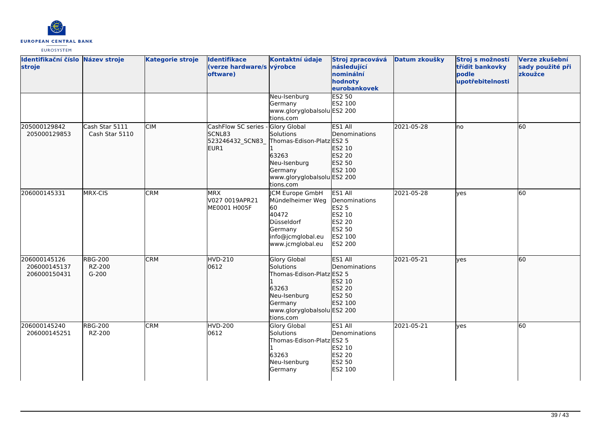

| Identifikační číslo Název stroje<br>stroje   |                                     | <b>Kategorie stroje</b> | <b>Identifikace</b><br>(verze hardware/s výrobce<br>oftware)           | Kontaktní údaje                                                                                                                               | Stroj zpracovává<br>následující<br>nominální<br>hodnoty<br>eurobankovek               | Datum zkoušky | Stroj s možností<br>třídit bankovky<br>podle<br>upotřebitelnosti | Verze zkušební<br>sady použité při<br>zkoužce |
|----------------------------------------------|-------------------------------------|-------------------------|------------------------------------------------------------------------|-----------------------------------------------------------------------------------------------------------------------------------------------|---------------------------------------------------------------------------------------|---------------|------------------------------------------------------------------|-----------------------------------------------|
|                                              |                                     |                         |                                                                        | Neu-Isenburg<br>Germany<br>www.gloryglobalsolu ES2 200<br>tions.com                                                                           | <b>ES2 50</b><br>ES2 100                                                              |               |                                                                  |                                               |
| 205000129842<br>205000129853                 | Cash Star 5111<br>Cash Star 5110    | <b>CIM</b>              | CashFlow SC series -<br>SCNL83<br>523246432_SCN83_<br>EUR <sub>1</sub> | <b>Glory Global</b><br>Solutions<br>Thomas-Edison-Platz ES2 5<br>63263<br>Neu-Isenburg<br>Germany<br>www.gloryglobalsolu ES2 200<br>tions.com | ES1 All<br>Denominations<br>ES2 10<br>ES2 20<br>ES2 50<br>ES2 100                     | 2021-05-28    | no                                                               | 60                                            |
| 206000145331                                 | MRX-CIS                             | <b>CRM</b>              | <b>MRX</b><br>V027 0019APR21<br>ME0001 H005F                           | <b>CM Europe GmbH</b><br>Mündelheimer Weg<br>60<br>40472<br>Düsseldorf<br>Germany<br>info@jcmglobal.eu<br>www.jcmglobal.eu                    | ES1 All<br>Denominations<br>ES2 5<br>ES2 10<br>ES2 20<br>ES2 50<br>ES2 100<br>ES2 200 | 2021-05-28    | lves                                                             | 60                                            |
| 206000145126<br>206000145137<br>206000150431 | <b>RBG-200</b><br>RZ-200<br>$G-200$ | <b>CRM</b>              | <b>HVD-210</b><br>0612                                                 | <b>Glory Global</b><br>Solutions<br>Thomas-Edison-Platz ES2 5<br>63263<br>Neu-Isenburg<br>Germany<br>www.gloryglobalsolu ES2 200<br>tions.com | ES1 All<br>Denominations<br>ES2 10<br>ES2 20<br>ES2 50<br>ES2 100                     | 2021-05-21    | lyes                                                             | 60                                            |
| 206000145240<br>206000145251                 | <b>RBG-200</b><br>RZ-200            | CRM                     | <b>HVD-200</b><br>0612                                                 | <b>Glory Global</b><br>Solutions<br>Thomas-Edison-Platz ES2 5<br>63263<br>Neu-Isenburg<br>Germany                                             | ES1 All<br>Denominations<br>ES2 10<br>ES2 20<br>ES2 50<br>ES2 100                     | 2021-05-21    | ves                                                              | 60                                            |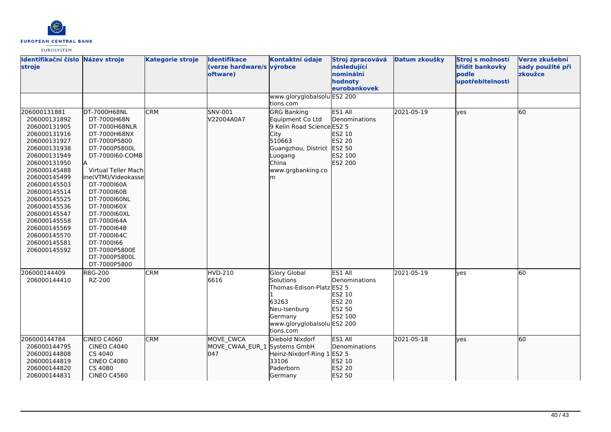

| Identifikační číslo Název stroje<br>stroje                                                                                                                                                                                                                                                                                   |                                                                                                                                                                                                                                                                                                                                                                | <b>Kategorie stroje</b> | <b>Identifikace</b><br>(verze hardware/s výrobce<br>oftware) | Kontaktní údaje                                                                                                                                                            | Stroj zpracovává<br>následující<br>nominální<br>hodnoty<br>eurobankovek | Datum zkoušky | Stroj s možností<br>třídit bankovky<br>podle<br>upotřebitelnosti | Verze zkušební<br>sady použité při<br>zkoužce |
|------------------------------------------------------------------------------------------------------------------------------------------------------------------------------------------------------------------------------------------------------------------------------------------------------------------------------|----------------------------------------------------------------------------------------------------------------------------------------------------------------------------------------------------------------------------------------------------------------------------------------------------------------------------------------------------------------|-------------------------|--------------------------------------------------------------|----------------------------------------------------------------------------------------------------------------------------------------------------------------------------|-------------------------------------------------------------------------|---------------|------------------------------------------------------------------|-----------------------------------------------|
|                                                                                                                                                                                                                                                                                                                              |                                                                                                                                                                                                                                                                                                                                                                |                         |                                                              | www.gloryglobalsolu ES2 200<br>tions.com                                                                                                                                   |                                                                         |               |                                                                  |                                               |
| 206000131881<br>206000131892<br>206000131905<br>206000131916<br>206000131927<br>206000131938<br>206000131949<br>206000131950<br>206000145488<br>206000145499<br>206000145503<br>206000145514<br>206000145525<br>206000145536<br>206000145547<br>206000145558<br>206000145569<br>206000145570<br>206000145581<br>206000145592 | DT-7000H68NL<br>DT-7000H68N<br>DT-7000H68NLR<br>DT-7000H68NX<br>DT-7000P5800<br>DT-7000P5800L<br>DT-7000160-COMB<br>ΙA<br>Virtual Teller Mach<br>ine(VTM)/Videokasse<br>DT-7000160A<br>DT-7000160B<br>DT-7000160NL<br>DT-7000160X<br>DT-7000160XL<br>DT-7000164A<br>DT-7000164B<br>DT-7000164C<br>DT-7000166<br>DT-7000P5800E<br>DT-7000P5800L<br>DT-7000P5800 | <b>CRM</b>              | SNV-001<br>V22004A0A7                                        | <b>GRG Banking</b><br>Equipment Co Ltd<br>9 Kelin Road Science ES2 5<br><b>City</b><br>510663<br>Guangzhou, District ES2 50<br>Luogang<br>China<br>www.grgbanking.co<br>Im | ES1 All<br>Denominations<br>ES2 10<br>ES2 20<br>ES2 100<br>ES2 200      | 2021-05-19    | ves                                                              | 60                                            |
| 206000144409<br>206000144410                                                                                                                                                                                                                                                                                                 | <b>RBG-200</b><br>RZ-200                                                                                                                                                                                                                                                                                                                                       | <b>CRM</b>              | HVD-210<br>6616                                              | <b>Glory Global</b><br>Solutions<br>Thomas-Edison-Platz ES2 5<br>63263<br>Neu-Isenburg<br>Germany<br>www.gloryglobalsolu ES2 200<br>tions.com                              | ES1 All<br>Denominations<br>ES2 10<br>ES2 20<br>ES2 50<br>ES2 100       | 2021-05-19    | ves                                                              | 60                                            |
| 206000144784<br>206000144795<br>206000144808<br>206000144819<br>206000144820<br>206000144831                                                                                                                                                                                                                                 | CINEO C4060<br><b>CINEO C4040</b><br>CS 4040<br><b>CINEO C4080</b><br>CS 4080<br><b>CINEO C4560</b>                                                                                                                                                                                                                                                            | <b>CRM</b>              | MOVE CWCA<br>MOVE_CWAA_EUR_1 Systems GmbH<br>1047            | Diebold Nixdorf<br>Heinz-Nixdorf-Ring 1 ES2 5<br>33106<br>Paderborn<br>Germany                                                                                             | <b>ES1 AII</b><br>Denominations<br>ES2 10<br>ES2 20<br>ES2 50           | 2021-05-18    | yes                                                              | 60                                            |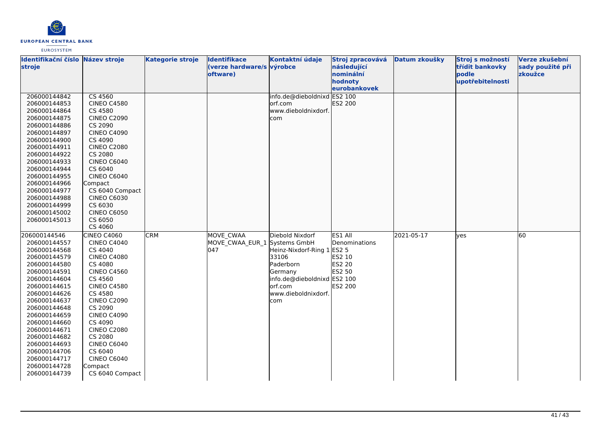

| Identifikační číslo Název stroje<br>stroje |                                       | <b>Kategorie stroje</b> | <b>Identifikace</b><br>(verze hardware/s výrobce<br>oftware) | Kontaktní údaje             | Stroj zpracovává<br>následující<br>nominální<br>hodnoty | Datum zkoušky | Stroj s možností<br>třídit bankovky<br>podle<br>upotřebitelnosti | Verze zkušební<br>sady použité při<br>zkoužce |
|--------------------------------------------|---------------------------------------|-------------------------|--------------------------------------------------------------|-----------------------------|---------------------------------------------------------|---------------|------------------------------------------------------------------|-----------------------------------------------|
|                                            |                                       |                         |                                                              |                             | eurobankovek                                            |               |                                                                  |                                               |
| 206000144842                               | CS 4560                               |                         |                                                              | info.de@dieboldnixd ES2 100 |                                                         |               |                                                                  |                                               |
| 206000144853                               | <b>CINEO C4580</b>                    |                         |                                                              | orf.com                     | ES2 200                                                 |               |                                                                  |                                               |
| 206000144864                               | CS 4580                               |                         |                                                              | www.dieboldnixdorf.         |                                                         |               |                                                                  |                                               |
| 206000144875                               | <b>CINEO C2090</b>                    |                         |                                                              | com                         |                                                         |               |                                                                  |                                               |
| 206000144886                               | CS 2090                               |                         |                                                              |                             |                                                         |               |                                                                  |                                               |
| 206000144897                               | <b>CINEO C4090</b>                    |                         |                                                              |                             |                                                         |               |                                                                  |                                               |
| 206000144900                               | CS 4090                               |                         |                                                              |                             |                                                         |               |                                                                  |                                               |
| 206000144911                               | <b>CINEO C2080</b>                    |                         |                                                              |                             |                                                         |               |                                                                  |                                               |
| 206000144922                               | CS 2080                               |                         |                                                              |                             |                                                         |               |                                                                  |                                               |
| 206000144933                               | CINEO C6040                           |                         |                                                              |                             |                                                         |               |                                                                  |                                               |
| 206000144944                               | CS 6040                               |                         |                                                              |                             |                                                         |               |                                                                  |                                               |
| 206000144955                               | CINEO C6040                           |                         |                                                              |                             |                                                         |               |                                                                  |                                               |
| 206000144966                               | Compact                               |                         |                                                              |                             |                                                         |               |                                                                  |                                               |
| 206000144977<br>206000144988               | CS 6040 Compact<br><b>CINEO C6030</b> |                         |                                                              |                             |                                                         |               |                                                                  |                                               |
| 206000144999                               | CS 6030                               |                         |                                                              |                             |                                                         |               |                                                                  |                                               |
| 206000145002                               | <b>CINEO C6050</b>                    |                         |                                                              |                             |                                                         |               |                                                                  |                                               |
| 206000145013                               | CS 6050                               |                         |                                                              |                             |                                                         |               |                                                                  |                                               |
|                                            | CS 4060                               |                         |                                                              |                             |                                                         |               |                                                                  |                                               |
| 206000144546                               | CINEO C4060                           | <b>CRM</b>              | MOVE CWAA                                                    | Diebold Nixdorf             | ES1 All                                                 | 2021-05-17    | lves                                                             | 60                                            |
| 206000144557                               | <b>CINEO C4040</b>                    |                         | MOVE CWAA EUR 1 Systems GmbH                                 |                             | Denominations                                           |               |                                                                  |                                               |
| 206000144568                               | CS 4040                               |                         | 047                                                          | Heinz-Nixdorf-Ring 1 ES2 5  |                                                         |               |                                                                  |                                               |
| 206000144579                               | <b>CINEO C4080</b>                    |                         |                                                              | 33106                       | ES2 10                                                  |               |                                                                  |                                               |
| 206000144580                               | CS 4080                               |                         |                                                              | Paderborn                   | ES2 20                                                  |               |                                                                  |                                               |
| 206000144591                               | <b>CINEO C4560</b>                    |                         |                                                              | Germany                     | ES2 50                                                  |               |                                                                  |                                               |
| 206000144604                               | CS 4560                               |                         |                                                              | info.de@dieboldnixd ES2 100 |                                                         |               |                                                                  |                                               |
| 206000144615                               | <b>CINEO C4580</b>                    |                         |                                                              | orf.com                     | ES2 200                                                 |               |                                                                  |                                               |
| 206000144626                               | CS 4580                               |                         |                                                              | www.dieboldnixdorf.         |                                                         |               |                                                                  |                                               |
| 206000144637                               | <b>CINEO C2090</b>                    |                         |                                                              | com                         |                                                         |               |                                                                  |                                               |
| 206000144648                               | CS 2090                               |                         |                                                              |                             |                                                         |               |                                                                  |                                               |
| 206000144659                               | <b>CINEO C4090</b>                    |                         |                                                              |                             |                                                         |               |                                                                  |                                               |
| 206000144660                               | CS 4090                               |                         |                                                              |                             |                                                         |               |                                                                  |                                               |
| 206000144671                               | <b>CINEO C2080</b>                    |                         |                                                              |                             |                                                         |               |                                                                  |                                               |
| 206000144682                               | CS 2080                               |                         |                                                              |                             |                                                         |               |                                                                  |                                               |
| 206000144693                               | <b>CINEO C6040</b>                    |                         |                                                              |                             |                                                         |               |                                                                  |                                               |
| 206000144706                               | CS 6040                               |                         |                                                              |                             |                                                         |               |                                                                  |                                               |
| 206000144717                               | CINEO C6040                           |                         |                                                              |                             |                                                         |               |                                                                  |                                               |
| 206000144728                               | Compact                               |                         |                                                              |                             |                                                         |               |                                                                  |                                               |
| 206000144739                               | CS 6040 Compact                       |                         |                                                              |                             |                                                         |               |                                                                  |                                               |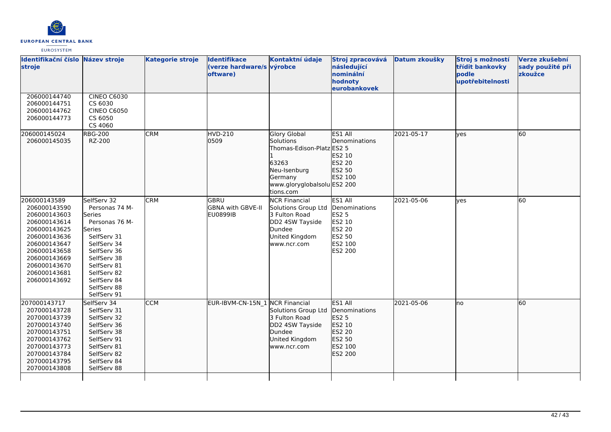

| Identifikační číslo<br>stroje                                                                                                                                                                | Název stroje                                                                                                                                                                                                      | <b>Kategorie stroje</b> | <b>Identifikace</b><br>(verze hardware/s výrobce<br>oftware) | Kontaktní údaje                                                                                                                                      | Stroj zpracovává<br>následující<br>nominální<br>hodnoty<br>eurobankovek                      | Datum zkoušky | Stroj s možností<br>třídit bankovky<br>podle<br>upotřebitelnosti | Verze zkušební<br>sady použité při<br>zkoužce |
|----------------------------------------------------------------------------------------------------------------------------------------------------------------------------------------------|-------------------------------------------------------------------------------------------------------------------------------------------------------------------------------------------------------------------|-------------------------|--------------------------------------------------------------|------------------------------------------------------------------------------------------------------------------------------------------------------|----------------------------------------------------------------------------------------------|---------------|------------------------------------------------------------------|-----------------------------------------------|
| 206000144740<br>206000144751<br>206000144762<br>206000144773                                                                                                                                 | <b>CINEO C6030</b><br>CS 6030<br><b>CINEO C6050</b><br>CS 6050<br>CS 4060                                                                                                                                         |                         |                                                              |                                                                                                                                                      |                                                                                              |               |                                                                  |                                               |
| 206000145024<br>206000145035                                                                                                                                                                 | <b>RBG-200</b><br>RZ-200                                                                                                                                                                                          | <b>CRM</b>              | <b>HVD-210</b><br>0509                                       | <b>Glory Global</b><br><b>Solutions</b><br>Thomas-Edison-Platz ES2 5<br>63263<br>Neu-Isenburg<br>Germany<br>www.gloryglobalsolu ES2 200<br>tions.com | ES1 All<br>Denominations<br>ES2 10<br>ES2 20<br>ES2 50<br>ES2 100                            | 2021-05-17    | lyes                                                             | 60                                            |
| 206000143589<br>206000143590<br>206000143603<br>206000143614<br>206000143625<br>206000143636<br>206000143647<br>206000143658<br>206000143669<br>206000143670<br>206000143681<br>206000143692 | SelfServ 32<br>Personas 74 M-<br>Series<br>Personas 76 M-<br><b>Series</b><br>SelfServ 31<br>SelfServ 34<br>SelfServ 36<br>SelfServ 38<br>SelfServ 81<br>SelfServ 82<br>SelfServ 84<br>SelfServ 88<br>SelfServ 91 | <b>CRM</b>              | GBRU<br>GBNA with GBVE-II<br><b>EU0899IB</b>                 | <b>NCR Financial</b><br>Solutions Group Ltd<br>3 Fulton Road<br>DD2 4SW Tayside<br>Dundee<br>United Kingdom<br>www.ncr.com                           | ES1 All<br>Denominations<br><b>ES2 5</b><br>ES2 10<br>ES2 20<br>ES2 50<br>ES2 100<br>ES2 200 | 2021-05-06    | lyes                                                             | 60                                            |
| 207000143717<br>207000143728<br>207000143739<br>207000143740<br>207000143751<br>207000143762<br>207000143773<br>207000143784<br>207000143795<br>207000143808                                 | SelfServ 34<br>SelfServ 31<br>SelfServ 32<br>SelfServ 36<br>SelfServ 38<br>SelfServ 91<br>SelfServ 81<br>SelfServ 82<br>SelfServ 84<br>SelfServ 88                                                                | <b>CCM</b>              | EUR-IBVM-CN-15N 1 NCR Financial                              | Solutions Group Ltd<br>3 Fulton Road<br>DD2 4SW Tayside<br>Dundee<br>United Kingdom<br>www.ncr.com                                                   | ES1 All<br>Denominations<br>ES2 5<br>ES2 10<br>ES2 20<br>ES2 50<br>ES2 100<br>ES2 200        | 2021-05-06    | Ino                                                              | $\overline{60}$                               |
|                                                                                                                                                                                              |                                                                                                                                                                                                                   |                         |                                                              |                                                                                                                                                      |                                                                                              |               |                                                                  |                                               |